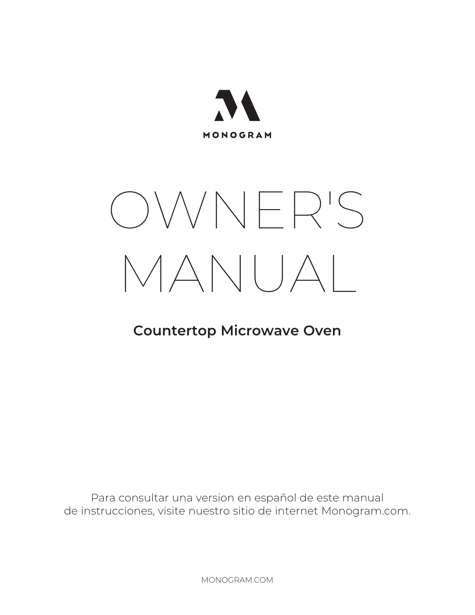

# OWNER'S MANUAL

# **Countertop Microwave Oven**

Para consultar una version en español de este manual de instrucciones, visite nuestro sitio de internet Monogram.com.

MONOGRAM.COM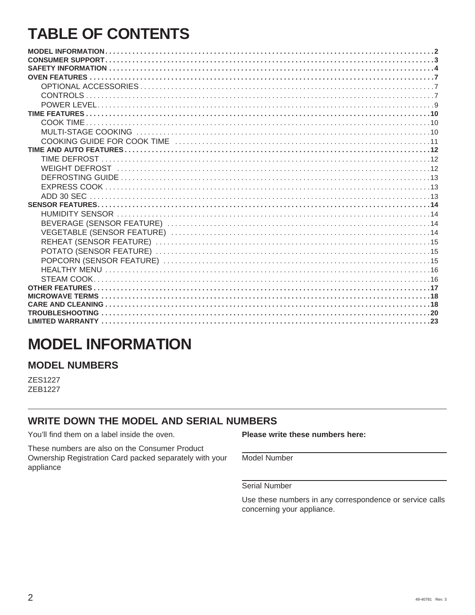# **TABLE OF CONTENTS**

# **MODEL INFORMATION**

### **MODEL NUMBERS**

**ZES1227 ZEB1227** 

### **WRITE DOWN THE MODEL AND SERIAL NUMBERS**

You'll find them on a label inside the oven.

These numbers are also on the Consumer Product Ownership Registration Card packed separately with your appliance

#### Please write these numbers here:

Model Number

**Serial Number** 

Use these numbers in any correspondence or service calls concerning your appliance.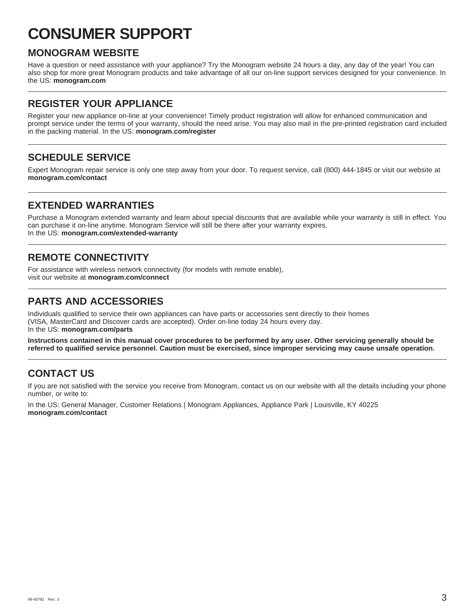# **CONSUMER SUPPORT**

### **MONOGRAM WEBSITE**

Have a question or need assistance with your appliance? Try the Monogram website 24 hours a day, any day of the year! You can also shop for more great Monogram products and take advantage of all our on-line support services designed for your convenience. In the US: **monogram.com**

### **REGISTER YOUR APPLIANCE**

Register your new appliance on-line at your convenience! Timely product registration will allow for enhanced communication and prompt service under the terms of your warranty, should the need arise. You may also mail in the pre-printed registration card included in the packing material. In the US: **monogram.com/register**

### **SCHEDULE SERVICE**

Expert Monogram repair service is only one step away from your door. To request service, call (800) 444-1845 or visit our website at **monogram.com/contact**

### **EXTENDED WARRANTIES**

Purchase a Monogram extended warranty and learn about special discounts that are available while your warranty is still in effect. You can purchase it on-line anytime. Monogram Service will still be there after your warranty expires. In the US: **monogram.com/extended-warranty**

### **REMOTE CONNECTIVITY**

For assistance with wireless network connectivity (for models with remote enable), visit our website at **monogram.com/connect**

### **PARTS AND ACCESSORIES**

Individuals qualified to service their own appliances can have parts or accessories sent directly to their homes (VISA, MasterCard and Discover cards are accepted). Order on-line today 24 hours every day. In the US: **monogram.com/parts**

**Instructions contained in this manual cover procedures to be performed by any user. Other servicing generally should be referred to qualified service personnel. Caution must be exercised, since improper servicing may cause unsafe operation.**

### **CONTACT US**

If you are not satisfied with the service you receive from Monogram, contact us on our website with all the details including your phone number, or write to:

In the US: General Manager, Customer Relations | Monogram Appliances, Appliance Park | Louisville, KY 40225 **monogram.com/contact**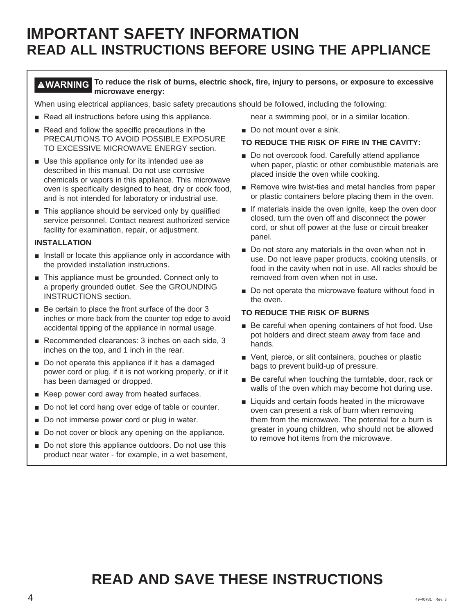# **IMPORTANT SAFETY INFORMATION READ ALL INSTRUCTIONS BEFORE USING THE APPLIANCE**

### **WARNING To reduce the risk of burns, electric shock, fire, injury to persons, or exposure to excessive microwave energy:**

When using electrical appliances, basic safety precautions should be followed, including the following:

- Read all instructions before using this appliance.
- Read and follow the specific precautions in the PRECAUTIONS TO AVOID POSSIBLE EXPOSURE TO EXCESSIVE MICROWAVE ENERGY section.
- $\blacksquare$  Use this appliance only for its intended use as described in this manual. Do not use corrosive chemicals or vapors in this appliance. This microwave oven is specifically designed to heat, dry or cook food, and is not intended for laboratory or industrial use.
- $\blacksquare$  This appliance should be serviced only by qualified service personnel. Contact nearest authorized service facility for examination, repair, or adjustment.

#### **INSTALLATION**

- $\blacksquare$  Install or locate this appliance only in accordance with the provided installation instructions.
- This appliance must be grounded. Connect only to a properly grounded outlet. See the GROUNDING INSTRUCTIONS section.
- $\blacksquare$  Be certain to place the front surface of the door 3 inches or more back from the counter top edge to avoid accidental tipping of the appliance in normal usage.
- Recommended clearances:  $3$  inches on each side,  $3$ inches on the top, and 1 inch in the rear.
- Do not operate this appliance if it has a damaged power cord or plug, if it is not working properly, or if it has been damaged or dropped.
- Keep power cord away from heated surfaces.
- Do not let cord hang over edge of table or counter.
- Do not immerse power cord or plug in water.
- Do not cover or block any opening on the appliance.
- Do not store this appliance outdoors. Do not use this product near water - for example, in a wet basement,

near a swimming pool, or in a similar location.

Do not mount over a sink.

#### **TO REDUCE THE RISK OF FIRE IN THE CAVITY:**

- Do not overcook food. Carefully attend appliance when paper, plastic or other combustible materials are placed inside the oven while cooking.
- Remove wire twist-ties and metal handles from paper or plastic containers before placing them in the oven.
- If materials inside the oven ignite, keep the oven door closed, turn the oven off and disconnect the power cord, or shut off power at the fuse or circuit breaker panel.
- $\blacksquare$  Do not store any materials in the oven when not in use. Do not leave paper products, cooking utensils, or food in the cavity when not in use. All racks should be removed from oven when not in use.
- Do not operate the microwave feature without food in the oven.

#### **TO REDUCE THE RISK OF BURNS**

- Be careful when opening containers of hot food. Use pot holders and direct steam away from face and hands.
- Vent, pierce, or slit containers, pouches or plastic bags to prevent build-up of pressure.
- Be careful when touching the turntable, door, rack or walls of the oven which may become hot during use.
- Liquids and certain foods heated in the microwave oven can present a risk of burn when removing them from the microwave. The potential for a burn is greater in young children, who should not be allowed to remove hot items from the microwave.

# **READ AND SAVE THESE INSTRUCTIONS**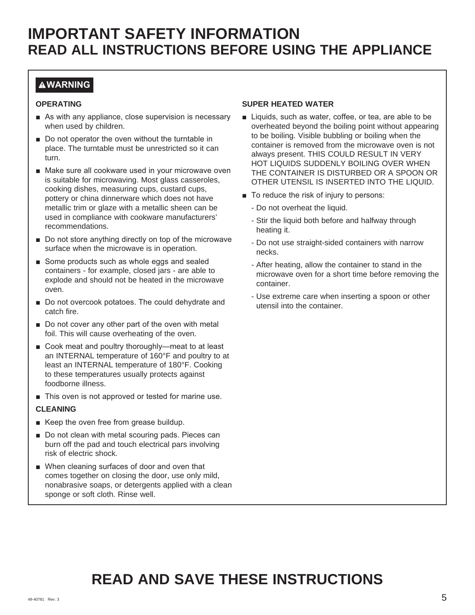### **WARNING**

#### **OPERATING**

- $\blacksquare$  As with any appliance, close supervision is necessary when used by children.
- $\blacksquare$  Do not operator the oven without the turntable in place. The turntable must be unrestricted so it can turn.
- $\blacksquare$  Make sure all cookware used in your microwave oven is suitable for microwaving. Most glass casseroles, cooking dishes, measuring cups, custard cups, pottery or china dinnerware which does not have metallic trim or glaze with a metallic sheen can be used in compliance with cookware manufacturers' recommendations.
- $\blacksquare$  Do not store anything directly on top of the microwave surface when the microwave is in operation.
- Some products such as whole eggs and sealed containers - for example, closed jars - are able to explode and should not be heated in the microwave oven.
- Do not overcook potatoes. The could dehydrate and catch fire.
- $\blacksquare$  Do not cover any other part of the oven with metal foil. This will cause overheating of the oven.
- Cook meat and poultry thoroughly—meat to at least an INTERNAL temperature of 160°F and poultry to at least an INTERNAL temperature of 180°F. Cooking to these temperatures usually protects against foodborne illness.
- $\blacksquare$  This oven is not approved or tested for marine use.

#### **CLEANING**

- Keep the oven free from grease buildup.
- Do not clean with metal scouring pads. Pieces can burn off the pad and touch electrical pars involving risk of electric shock.
- When cleaning surfaces of door and oven that comes together on closing the door, use only mild, nonabrasive soaps, or detergents applied with a clean sponge or soft cloth. Rinse well.

#### **SUPER HEATED WATER**

- Liquids, such as water, coffee, or tea, are able to be overheated beyond the boiling point without appearing to be boiling. Visible bubbling or boiling when the container is removed from the microwave oven is not always present. THIS COULD RESULT IN VERY HOT LIQUIDS SUDDENLY BOILING OVER WHEN THE CONTAINER IS DISTURBED OR A SPOON OR OTHER UTENSIL IS INSERTED INTO THE LIQUID.
- $\blacksquare$  To reduce the risk of injury to persons:
	- Do not overheat the liquid.
	- Stir the liquid both before and halfway through heating it.
	- Do not use straight-sided containers with narrow necks.
	- After heating, allow the container to stand in the microwave oven for a short time before removing the container.
	- Use extreme care when inserting a spoon or other utensil into the container.

# **READ AND SAVE THESE INSTRUCTIONS**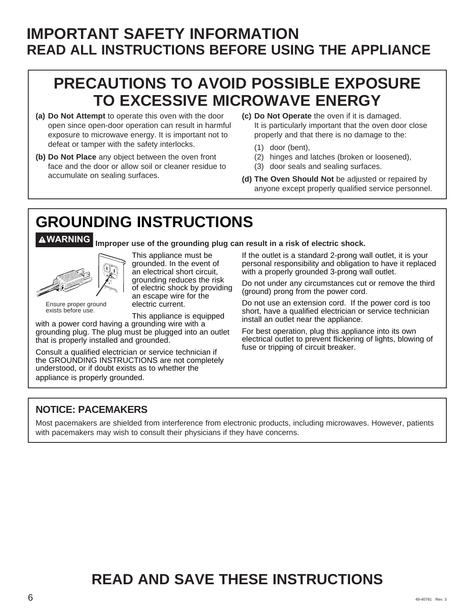# **IMPORTANT SAFETY INFORMATION READ ALL INSTRUCTIONS BEFORE USING THE APPLIANCE**

# **PRECAUTIONS TO AVOID POSSIBLE EXPOSURE TO EXCESSIVE MICROWAVE ENERGY**

- **(a) Do Not Attempt** to operate this oven with the door open since open-door operation can result in harmful exposure to microwave energy. It is important not to defeat or tamper with the safety interlocks.
- **(b) Do Not Place** any object between the oven front face and the door or allow soil or cleaner residue to accumulate on sealing surfaces.
- **(c) Do Not Operate** the oven if it is damaged. It is particularly important that the oven door close properly and that there is no damage to the:
	- (1) door (bent),
	- (2) hinges and latches (broken or loosened),
	- (3) door seals and sealing surfaces.
- **(d) The Oven Should Not** be adjusted or repaired by anyone except properly qualified service personnel.

# **GROUNDING INSTRUCTIONS**

**WARNING Improper use of the grounding plug can result in a risk of electric shock.**



exists before use.

This appliance must be grounded. In the event of an electrical short circuit, grounding reduces the risk of electric shock by providing an escape wire for the electric current.

This appliance is equipped

with a power cord having a grounding wire with a grounding plug. The plug must be plugged into an outlet that is properly installed and grounded.

Consult a qualified electrician or service technician if the GROUNDING INSTRUCTIONS are not completely understood, or if doubt exists as to whether the appliance is properly grounded.

If the outlet is a standard 2-prong wall outlet, it is your personal responsibility and obligation to have it replaced with a properly grounded 3-prong wall outlet.

Do not under any circumstances cut or remove the third (ground) prong from the power cord.

Do not use an extension cord. If the power cord is too short, have a qualified electrician or service technician install an outlet near the appliance.

For best operation, plug this appliance into its own electrical outlet to prevent flickering of lights, blowing of fuse or tripping of circuit breaker.

### **NOTICE: PACEMAKERS**

Most pacemakers are shielded from interference from electronic products, including microwaves. However, patients with pacemakers may wish to consult their physicians if they have concerns.

# **READ AND SAVE THESE INSTRUCTIONS**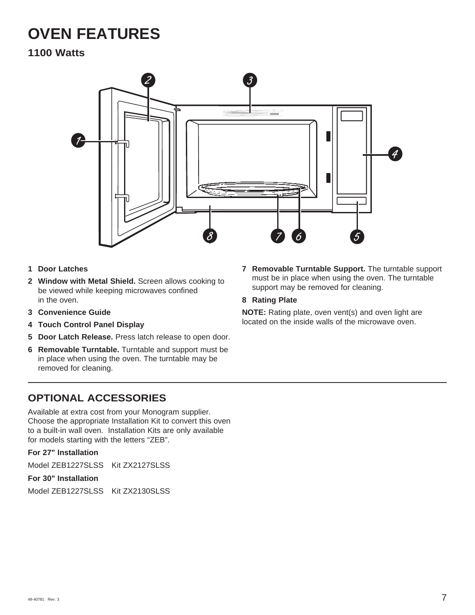# **OVEN FEATURES**

### **1100 Watts**



- **1 Door Latches**
- **2 Window with Metal Shield.** Screen allows cooking to be viewed while keeping microwaves confined in the oven.
- **3 Convenience Guide**
- **4 Touch Control Panel Display**
- **5 Door Latch Release.** Press latch release to open door.
- **6 Removable Turntable.** Turntable and support must be in place when using the oven. The turntable may be removed for cleaning.

### **OPTIONAL ACCESSORIES**

Available at extra cost from your Monogram supplier. Choose the appropriate Installation Kit to convert this oven to a built-in wall oven. Installation Kits are only available for models starting with the letters "ZEB".

#### **For 27" Installation**

Model ZEB1227SLSS Kit ZX2127SLSS

#### **For 30" Installation**

Model ZEB1227SLSS Kit ZX2130SLSS

**7 Removable Turntable Support.** The turntable support must be in place when using the oven. The turntable support may be removed for cleaning.

#### **8 Rating Plate**

**NOTE:** Rating plate, oven vent(s) and oven light are located on the inside walls of the microwave oven.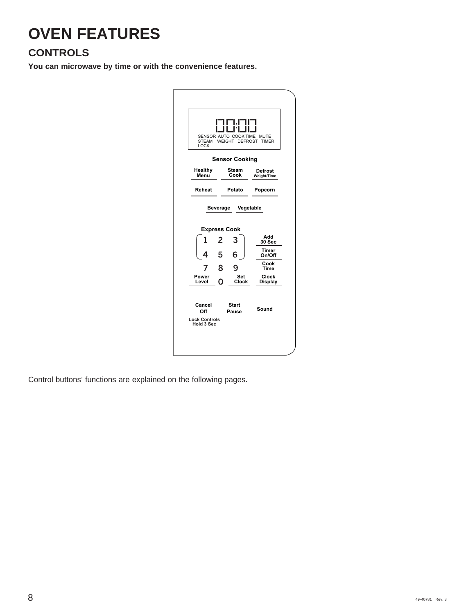# **OVEN FEATURES**

### **CONTROLS**

**You can microwave by time or with the convenience features.**

| <b>STEAM</b><br>LOCK                  |        | FIF1.F<br>i in t<br>SENSOR AUTO COOK TIME<br>WEIGHT DEFROST | <b>MUTE</b><br><b>TIMER</b>              |
|---------------------------------------|--------|-------------------------------------------------------------|------------------------------------------|
|                                       |        | <b>Sensor Cooking</b>                                       |                                          |
| Healthy<br>Menu                       |        | Steam<br>Cook                                               | Defrost<br>Weight/Time                   |
| Reheat                                |        | Potato                                                      | Popcorn                                  |
| 1<br>4                                | 5      | <b>Express Cook</b><br>6                                    | Add<br>30 Sec<br>Timer<br>On/Off<br>Cook |
| Power<br>Level                        | 8<br>ი | Set<br>Clock                                                | Time<br>Clock<br><b>Display</b>          |
| Cancel<br>Off<br><b>Lock Controls</b> |        | <b>Start</b><br>Pause                                       | Sound                                    |

Control buttons' functions are explained on the following pages.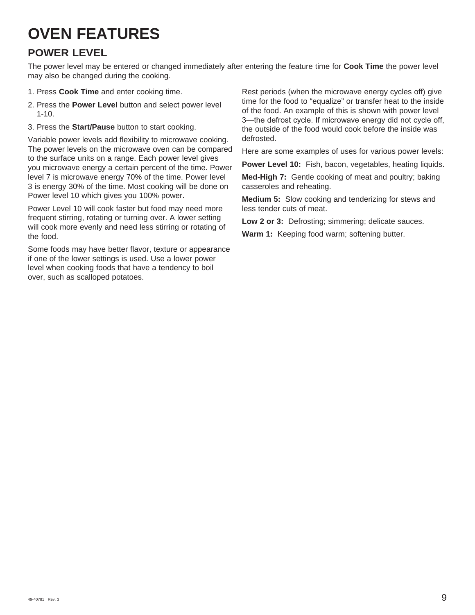# **OVEN FEATURES**

### **POWER LEVEL**

The power level may be entered or changed immediately after entering the feature time for **Cook Time** the power level may also be changed during the cooking.

- 1. Press **Cook Time** and enter cooking time.
- 2. Press the **Power Level** button and select power level 1-10.
- 3. Press the **Start/Pause** button to start cooking.

Variable power levels add flexibility to microwave cooking. The power levels on the microwave oven can be compared to the surface units on a range. Each power level gives you microwave energy a certain percent of the time. Power level 7 is microwave energy 70% of the time. Power level 3 is energy 30% of the time. Most cooking will be done on Power level 10 which gives you 100% power.

Power Level 10 will cook faster but food may need more frequent stirring, rotating or turning over. A lower setting will cook more evenly and need less stirring or rotating of the food.

Some foods may have better flavor, texture or appearance if one of the lower settings is used. Use a lower power level when cooking foods that have a tendency to boil over, such as scalloped potatoes.

Rest periods (when the microwave energy cycles off) give time for the food to "equalize" or transfer heat to the inside of the food. An example of this is shown with power level 3-the defrost cycle. If microwave energy did not cycle off, the outside of the food would cook before the inside was defrosted.

Here are some examples of uses for various power levels:

**Power Level 10:** Fish, bacon, vegetables, heating liquids.

**Med-High 7:** Gentle cooking of meat and poultry; baking casseroles and reheating.

**Medium 5:** Slow cooking and tenderizing for stews and less tender cuts of meat.

**Low 2 or 3:** Defrosting; simmering; delicate sauces.

**Warm 1:** Keeping food warm; softening butter.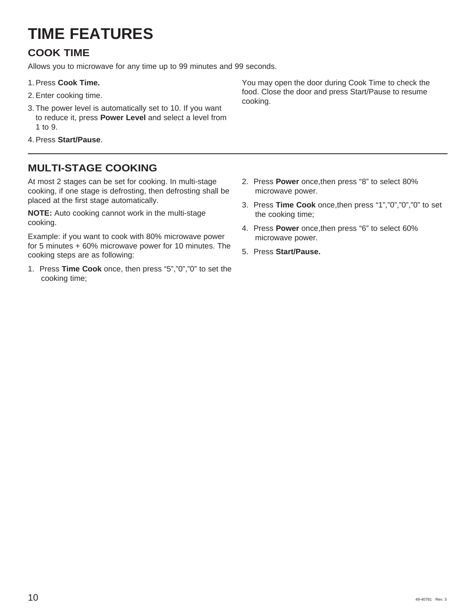# **TIME FEATURES**

## **COOK TIME**

Allows you to microwave for any time up to 99 minutes and 99 seconds.

- 1. Press **Cook Time.**
- 2. Enter cooking time.
- 3. The power level is automatically set to 10. If you want to reduce it, press **Power Level** and select a level from 1 to 9.
- 4. Press **Start/Pause**.

### **MULTI-STAGE COOKING**

At most 2 stages can be set for cooking. In multi-stage cooking, if one stage is defrosting, then defrosting shall be placed at the first stage automatically.

**NOTE:** Auto cooking cannot work in the multi-stage cooking.

Example: if you want to cook with 80% microwave power for 5 minutes + 60% microwave power for 10 minutes. The cooking steps are as following:

1. Press **Time Cook** once, then press "5","0","0" to set the cooking time;

You may open the door during Cook Time to check the food. Close the door and press Start/Pause to resume cooking.

- 2. Press **Power** once,then press "8" to select 80% microwave power.
- 3. Press **Time Cook** once,then press "1","0","0","0" to set the cooking time;
- 4. Press **Power** once,then press "6" to select 60% microwave power.
- 5. Press **Start/Pause.**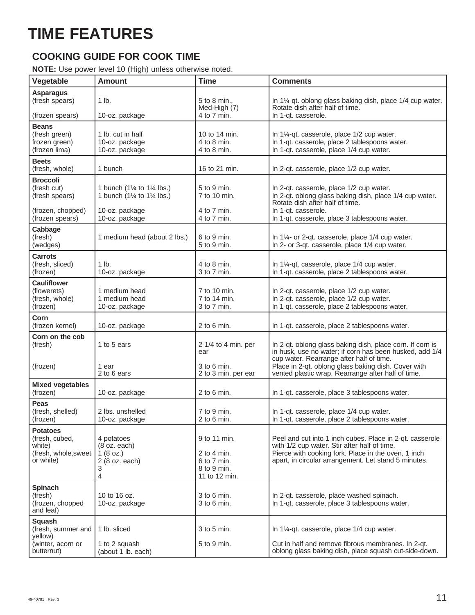# **TIME FEATURES**

### **COOKING GUIDE FOR COOK TIME**

#### **NOTE:** Use power level 10 (High) unless otherwise noted.

| Vegetable                                                                        | <b>Amount</b>                                                                                                           | <b>Time</b>                                                                | <b>Comments</b>                                                                                                                                                                                                         |
|----------------------------------------------------------------------------------|-------------------------------------------------------------------------------------------------------------------------|----------------------------------------------------------------------------|-------------------------------------------------------------------------------------------------------------------------------------------------------------------------------------------------------------------------|
| <b>Asparagus</b><br>(fresh spears)<br>(frozen spears)                            | $1$ lb.<br>10-oz. package                                                                                               | 5 to 8 min.,<br>Med-High (7)<br>4 to 7 min.                                | In 1¼-qt. oblong glass baking dish, place 1/4 cup water.<br>Rotate dish after half of time.<br>In 1-gt. casserole.                                                                                                      |
| <b>Beans</b><br>(fresh green)<br>frozen green)<br>(frozen lima)                  | 1 lb. cut in half<br>10-oz. package<br>10-oz. package                                                                   | 10 to 14 min.<br>4 to 8 min.<br>$4$ to 8 min.                              | In 1¼-qt. casserole, place 1/2 cup water.<br>In 1-qt. casserole, place 2 tablespoons water.<br>In 1-qt. casserole, place 1/4 cup water.                                                                                 |
| <b>Beets</b><br>(fresh, whole)                                                   | 1 bunch                                                                                                                 | 16 to 21 min.                                                              | In 2-qt. casserole, place 1/2 cup water.                                                                                                                                                                                |
| <b>Broccoli</b><br>(fresh cut)<br>(fresh spears)<br>(frozen, chopped)            | 1 bunch (1 $\frac{1}{4}$ to 1 $\frac{1}{4}$ lbs.)<br>1 bunch ( $1\frac{1}{4}$ to $1\frac{1}{4}$ lbs.)<br>10-oz. package | 5 to 9 min.<br>7 to 10 min.<br>4 to 7 min.                                 | In 2-qt. casserole, place 1/2 cup water.<br>In 2-qt. oblong glass baking dish, place 1/4 cup water.<br>Rotate dish after half of time.<br>In 1-gt. casserole.                                                           |
| (frozen spears)                                                                  | 10-oz. package                                                                                                          | 4 to 7 min.                                                                | In 1-qt. casserole, place 3 tablespoons water.                                                                                                                                                                          |
| Cabbage<br>(fresh)<br>(wedges)                                                   | 1 medium head (about 2 lbs.)                                                                                            | 6 to 9 min.<br>5 to 9 min.                                                 | In 1¼- or 2-qt. casserole, place 1/4 cup water.<br>In 2- or 3-qt. casserole, place 1/4 cup water.                                                                                                                       |
| <b>Carrots</b><br>(fresh, sliced)<br>(frozen)                                    | 1 lb.<br>10-oz. package                                                                                                 | 4 to 8 min.<br>3 to 7 min.                                                 | In 1¼-qt. casserole, place 1/4 cup water.<br>In 1-qt. casserole, place 2 tablespoons water.                                                                                                                             |
| <b>Cauliflower</b><br>(flowerets)<br>(fresh, whole)<br>(frozen)                  | 1 medium head<br>1 medium head<br>10-oz. package                                                                        | 7 to 10 min.<br>7 to 14 min.<br>3 to 7 min.                                | In 2-qt. casserole, place 1/2 cup water.<br>In 2-qt. casserole, place 1/2 cup water.<br>In 1-qt. casserole, place 2 tablespoons water.                                                                                  |
| Corn<br>(frozen kernel)                                                          | 10-oz. package                                                                                                          | $2$ to 6 min.                                                              | In 1-qt. casserole, place 2 tablespoons water.                                                                                                                                                                          |
| Corn on the cob<br>(fresh)<br>(frozen)                                           | 1 to 5 ears<br>1 ear                                                                                                    | $2-1/4$ to 4 min. per<br>ear<br>$3$ to $6$ min.                            | In 2-qt. oblong glass baking dish, place corn. If corn is<br>in husk, use no water; if corn has been husked, add 1/4<br>cup water. Rearrange after half of time.<br>Place in 2-qt. oblong glass baking dish. Cover with |
|                                                                                  | 2 to 6 ears                                                                                                             | 2 to 3 min. per ear                                                        | vented plastic wrap. Rearrange after half of time.                                                                                                                                                                      |
| <b>Mixed vegetables</b><br>(frozen)                                              | 10-oz. package                                                                                                          | $2$ to 6 min.                                                              | In 1-qt. casserole, place 3 tablespoons water.                                                                                                                                                                          |
| Peas<br>(fresh, shelled)<br>(frozen)                                             | 2 lbs. unshelled<br>10-oz. package                                                                                      | 7 to 9 min.<br>$2$ to 6 min.                                               | In 1-qt. casserole, place 1/4 cup water.<br>In 1-qt. casserole, place 2 tablespoons water.                                                                                                                              |
| <b>Potatoes</b><br>(fresh, cubed,<br>white)<br>(fresh, whole, sweet<br>or white) | 4 potatoes<br>(8 oz. each)<br>1 $(8 oz.)$<br>2 (8 oz. each)<br>3<br>4                                                   | 9 to 11 min.<br>2 to 4 min.<br>6 to 7 min.<br>8 to 9 min.<br>11 to 12 min. | Peel and cut into 1 inch cubes. Place in 2-qt. casserole<br>with 1/2 cup water. Stir after half of time.<br>Pierce with cooking fork. Place in the oven, 1 inch<br>apart, in circular arrangement. Let stand 5 minutes. |
| <b>Spinach</b><br>(fresh)<br>(frozen, chopped<br>and leaf)                       | 10 to 16 oz.<br>10-oz. package                                                                                          | $3$ to 6 min.<br>3 to 6 min.                                               | In 2-qt. casserole, place washed spinach.<br>In 1-qt. casserole, place 3 tablespoons water.                                                                                                                             |
| Squash<br>(fresh, summer and<br>yellow)                                          | 1 lb. sliced                                                                                                            | 3 to 5 min.                                                                | In 1¼-qt. casserole, place 1/4 cup water.                                                                                                                                                                               |
| (winter, acorn or<br>butternut)                                                  | 1 to 2 squash<br>(about 1 lb. each)                                                                                     | 5 to 9 min.                                                                | Cut in half and remove fibrous membranes. In 2-qt.<br>oblong glass baking dish, place squash cut-side-down.                                                                                                             |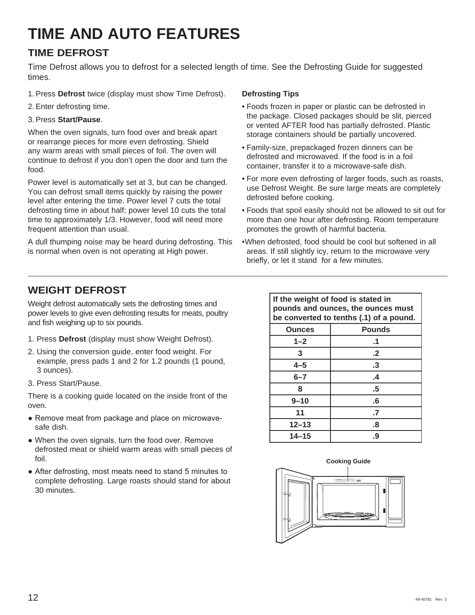# **TIME AND AUTO FEATURES**

### **TIME DEFROST**

Time Defrost allows you to defrost for a selected length of time. See the Defrosting Guide for suggested times.

- 1. Press **Defrost** twice (display must show Time Defrost).
- 2. Enter defrosting time.

#### 3. Press **Start/Pause**.

When the oven signals, turn food over and break apart or rearrange pieces for more even defrosting. Shield any warm areas with small pieces of foil. The oven will continue to defrost if you don't open the door and turn the food.

Power level is automatically set at 3, but can be changed. You can defrost small items quickly by raising the power level after entering the time. Power level 7 cuts the total defrosting time in about half; power level 10 cuts the total time to approximately 1/3. However, food will need more frequent attention than usual.

A dull thumping noise may be heard during defrosting. This is normal when oven is not operating at High power.

#### **Defrosting Tips**

- Foods frozen in paper or plastic can be defrosted in the package. Closed packages should be slit, pierced or vented AFTER food has partially defrosted. Plastic storage containers should be partially uncovered.
- Family-size, prepackaged frozen dinners can be defrosted and microwaved. If the food is in a foil container, transfer it to a microwave-safe dish.
- For more even defrosting of larger foods, such as roasts, use Defrost Weight. Be sure large meats are completely defrosted before cooking.
- Foods that spoil easily should not be allowed to sit out for more than one hour after defrosting. Room temperature promotes the growth of harmful bacteria.
- When defrosted, food should be cool but softened in all areas. If still slightly icy, return to the microwave very briefly, or let it stand for a few minutes.

### **WEIGHT DEFROST**

Weight defrost automatically sets the defrosting times and power levels to give even defrosting results for meats, poultry and fish weighing up to six pounds.

- 1. Press **Defrost** (display must show Weight Defrost).
- 2. Using the conversion guide, enter food weight. For example, press pads 1 and 2 for 1.2 pounds (1 pound, 3 ounces).
- 3. Press Start/Pause.

There is a cooking guide located on the inside front of the oven.

- Remove meat from package and place on microwavesafe dish.
- When the oven signals, turn the food over. Remove defrosted meat or shield warm areas with small pieces of foil.
- After defrosting, most meats need to stand 5 minutes to complete defrosting. Large roasts should stand for about 30 minutes.

| If the weight of food is stated in<br>pounds and ounces, the ounces must<br>be converted to tenths (.1) of a pound. |               |  |
|---------------------------------------------------------------------------------------------------------------------|---------------|--|
| <b>Ounces</b>                                                                                                       | <b>Pounds</b> |  |
| $1 - 2$                                                                                                             | .1            |  |
| 3                                                                                                                   | $\cdot$       |  |
| $4 - 5$                                                                                                             | .3            |  |
| $6 - 7$                                                                                                             | .4            |  |
| 8                                                                                                                   | .5            |  |
| $9 - 10$                                                                                                            | .6            |  |
| 11<br>$\cdot$                                                                                                       |               |  |
| $12 - 13$<br>.8                                                                                                     |               |  |
| $14 - 15$                                                                                                           | .9            |  |

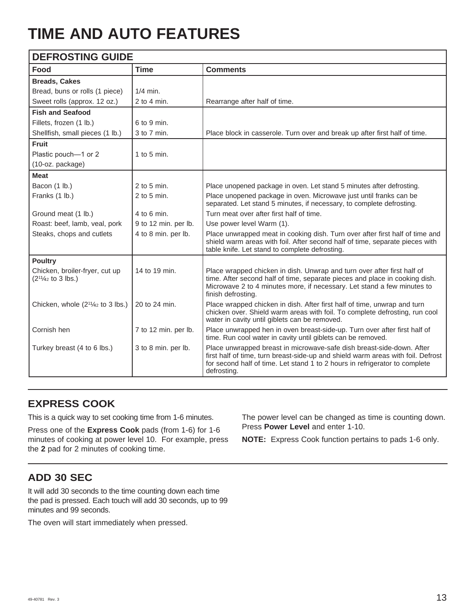# **TIME AND AUTO FEATURES**

| <b>DEFROSTING GUIDE</b>                               |                      |                                                                                                                                                                                                                                                         |  |
|-------------------------------------------------------|----------------------|---------------------------------------------------------------------------------------------------------------------------------------------------------------------------------------------------------------------------------------------------------|--|
| Food                                                  | <b>Time</b>          | <b>Comments</b>                                                                                                                                                                                                                                         |  |
| <b>Breads, Cakes</b>                                  |                      |                                                                                                                                                                                                                                                         |  |
| Bread, buns or rolls (1 piece)                        | $1/4$ min.           |                                                                                                                                                                                                                                                         |  |
| Sweet rolls (approx. 12 oz.)                          | $2$ to 4 min.        | Rearrange after half of time.                                                                                                                                                                                                                           |  |
| <b>Fish and Seafood</b>                               |                      |                                                                                                                                                                                                                                                         |  |
| Fillets, frozen (1 lb.)                               | 6 to 9 min.          |                                                                                                                                                                                                                                                         |  |
| Shellfish, small pieces (1 lb.)                       | 3 to 7 min.          | Place block in casserole. Turn over and break up after first half of time.                                                                                                                                                                              |  |
| <b>Fruit</b>                                          |                      |                                                                                                                                                                                                                                                         |  |
| Plastic pouch-1 or 2                                  | 1 to 5 min.          |                                                                                                                                                                                                                                                         |  |
| (10-oz. package)                                      |                      |                                                                                                                                                                                                                                                         |  |
| <b>Meat</b>                                           |                      |                                                                                                                                                                                                                                                         |  |
| Bacon (1 lb.)                                         | $2$ to 5 min.        | Place unopened package in oven. Let stand 5 minutes after defrosting.                                                                                                                                                                                   |  |
| Franks (1 lb.)                                        | $2$ to 5 min.        | Place unopened package in oven. Microwave just until franks can be<br>separated. Let stand 5 minutes, if necessary, to complete defrosting.                                                                                                             |  |
| Ground meat (1 lb.)                                   | $4$ to 6 min.        | Turn meat over after first half of time.                                                                                                                                                                                                                |  |
| Roast: beef, lamb, veal, pork                         | 9 to 12 min. per lb. | Use power level Warm (1).                                                                                                                                                                                                                               |  |
| Steaks, chops and cutlets                             | 4 to 8 min. per lb.  | Place unwrapped meat in cooking dish. Turn over after first half of time and<br>shield warm areas with foil. After second half of time, separate pieces with<br>table knife. Let stand to complete defrosting.                                          |  |
| <b>Poultry</b>                                        |                      |                                                                                                                                                                                                                                                         |  |
| Chicken, broiler-fryer, cut up<br>$(21/42 to 3 lbs.)$ | 14 to 19 min.        | Place wrapped chicken in dish. Unwrap and turn over after first half of<br>time. After second half of time, separate pieces and place in cooking dish.<br>Microwave 2 to 4 minutes more, if necessary. Let stand a few minutes to<br>finish defrosting. |  |
| Chicken, whole $(2^{1}/4)$ to 3 lbs.)                 | 20 to 24 min.        | Place wrapped chicken in dish. After first half of time, unwrap and turn<br>chicken over. Shield warm areas with foil. To complete defrosting, run cool<br>water in cavity until giblets can be removed.                                                |  |
| Cornish hen                                           | 7 to 12 min. per lb. | Place unwrapped hen in oven breast-side-up. Turn over after first half of<br>time. Run cool water in cavity until giblets can be removed.                                                                                                               |  |
| Turkey breast (4 to 6 lbs.)                           | 3 to 8 min. per lb.  | Place unwrapped breast in microwave-safe dish breast-side-down. After<br>first half of time, turn breast-side-up and shield warm areas with foil. Defrost<br>for second half of time. Let stand 1 to 2 hours in refrigerator to complete<br>defrosting. |  |

### **EXPRESS COOK**

This is a quick way to set cooking time from 1-6 minutes.

Press one of the **Express Cook** pads (from 1-6) for 1-6 minutes of cooking at power level 10. For example, press the **2** pad for 2 minutes of cooking time.

The power level can be changed as time is counting down. Press **Power Level** and enter 1-10.

**NOTE:** Express Cook function pertains to pads 1-6 only.

### **ADD 30 SEC**

It will add 30 seconds to the time counting down each time the pad is pressed. Each touch will add 30 seconds, up to 99 minutes and 99 seconds.

The oven will start immediately when pressed.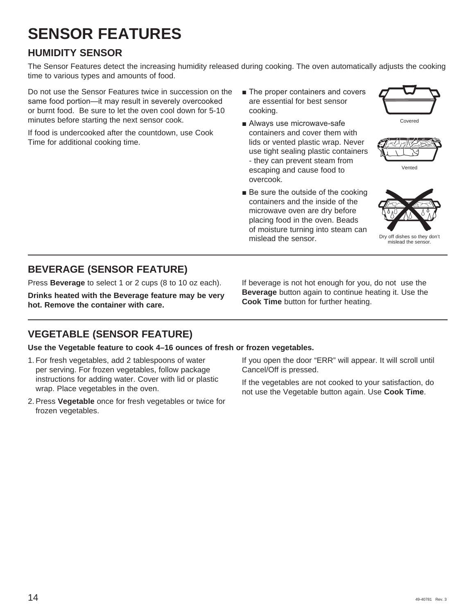# **SENSOR FEATURES**

### **HUMIDITY SENSOR**

The Sensor Features detect the increasing humidity released during cooking. The oven automatically adjusts the cooking time to various types and amounts of food.

Do not use the Sensor Features twice in succession on the same food portion-it may result in severely overcooked or burnt food. Be sure to let the oven cool down for 5-10 minutes before starting the next sensor cook.

If food is undercooked after the countdown, use Cook Time for additional cooking time.

- The proper containers and covers are essential for best sensor cooking.
- Always use microwave-safe containers and cover them with lids or vented plastic wrap. Never use tight sealing plastic containers - they can prevent steam from escaping and cause food to overcook.
- $\blacksquare$  Be sure the outside of the cooking containers and the inside of the microwave oven are dry before placing food in the oven. Beads of moisture turning into steam can mislead the sensor.







Dry off dishes so they don't mislead the sensor.

### **BEVERAGE (SENSOR FEATURE)**

Press **Beverage** to select 1 or 2 cups (8 to 10 oz each).

**Drinks heated with the Beverage feature may be very hot. Remove the container with care.**

### **VEGETABLE (SENSOR FEATURE)**

#### **Use the Vegetable feature to cook 4–16 ounces of fresh or frozen vegetables.**

- 1. For fresh vegetables, add 2 tablespoons of water per serving. For frozen vegetables, follow package instructions for adding water. Cover with lid or plastic wrap. Place vegetables in the oven.
- 2. Press **Vegetable** once for fresh vegetables or twice for frozen vegetables.

If beverage is not hot enough for you, do not use the **Beverage** button again to continue heating it. Use the **Cook Time** button for further heating.

If you open the door "ERR" will appear. It will scroll until Cancel/Off is pressed.

If the vegetables are not cooked to your satisfaction, do not use the Vegetable button again. Use **Cook Time**.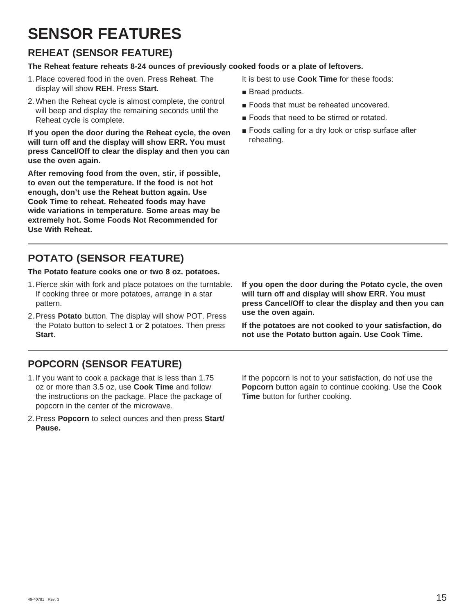# **SENSOR FEATURES**

### **REHEAT (SENSOR FEATURE)**

### **The Reheat feature reheats 8-24 ounces of previously cooked foods or a plate of leftovers.**

- 1. Place covered food in the oven. Press **Reheat**. The display will show **REH**. Press **Start**.
- 2. When the Reheat cycle is almost complete, the control will beep and display the remaining seconds until the Reheat cycle is complete.

**If you open the door during the Reheat cycle, the oven will turn off and the display will show ERR. You must press Cancel/Off to clear the display and then you can use the oven again.**

**After removing food from the oven, stir, if possible, to even out the temperature. If the food is not hot enough, don't use the Reheat button again. Use Cook Time to reheat. Reheated foods may have wide variations in temperature. Some areas may be extremely hot. Some Foods Not Recommended for Use With Reheat.**

## **POTATO (SENSOR FEATURE)**

### **The Potato feature cooks one or two 8 oz. potatoes.**

- 1. Pierce skin with fork and place potatoes on the turntable. If cooking three or more potatoes, arrange in a star pattern.
- 2. Press **Potato** button. The display will show POT. Press the Potato button to select **1** or **2** potatoes. Then press **Start**.

### **POPCORN (SENSOR FEATURE)**

- 1. If you want to cook a package that is less than 1.75 oz or more than 3.5 oz, use **Cook Time** and follow the instructions on the package. Place the package of popcorn in the center of the microwave.
- 2. Press **Popcorn** to select ounces and then press **Start/ Pause.**

It is best to use **Cook Time** for these foods:

- $\blacksquare$  Bread products.
- Foods that must be reheated uncovered.
- Foods that need to be stirred or rotated.
- Foods calling for a dry look or crisp surface after reheating.

**If you open the door during the Potato cycle, the oven will turn off and display will show ERR. You must press Cancel/Off to clear the display and then you can use the oven again.**

**If the potatoes are not cooked to your satisfaction, do not use the Potato button again. Use Cook Time.**

If the popcorn is not to your satisfaction, do not use the **Popcorn** button again to continue cooking. Use the **Cook Time** button for further cooking.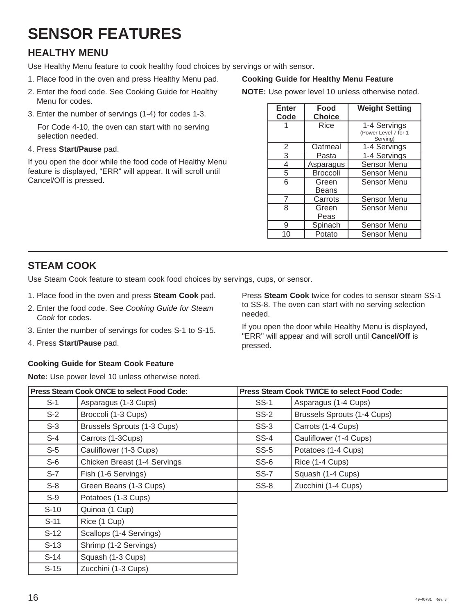# **SENSOR FEATURES**

### **HEALTHY MENU**

Use Healthy Menu feature to cook healthy food choices by servings or with sensor.

- 1. Place food in the oven and press Healthy Menu pad.
- 2. Enter the food code. See Cooking Guide for Healthy Menu for codes.
- 3. Enter the number of servings (1-4) for codes 1-3.

 For Code 4-10, the oven can start with no serving selection needed.

4. Press **Start/Pause** pad.

If you open the door while the food code of Healthy Menu feature is displayed, "ERR" will appear. It will scroll until Cancel/Off is pressed.

#### **Cooking Guide for Healthy Menu Feature**

**NOTE:** Use power level 10 unless otherwise noted.

| <b>Enter</b> | Food            | <b>Weight Setting</b>                            |
|--------------|-----------------|--------------------------------------------------|
| Code         | <b>Choice</b>   |                                                  |
|              | Rice            | 1-4 Servings<br>(Power Level 7 for 1<br>Serving) |
| 2            | Oatmeal         | 1-4 Servings                                     |
| 3            | Pasta           | 1-4 Servings                                     |
| 4            | Asparagus       | <b>Sensor Menu</b>                               |
| 5            | <b>Broccoli</b> | Sensor Menu                                      |
| 6            | Green<br>Beans  | Sensor Menu                                      |
|              | Carrots         | <b>Sensor Menu</b>                               |
| 8            | Green<br>Peas   | Sensor Menu                                      |
| 9            | Spinach         | <b>Sensor Menu</b>                               |
| 10           | Potato          | <b>Sensor Menu</b>                               |

### **STEAM COOK**

Use Steam Cook feature to steam cook food choices by servings, cups, or sensor.

- 1. Place food in the oven and press **Steam Cook** pad.
- 2. Enter the food code. See *Cooking Guide for Steam Cook* for codes.
- 3. Enter the number of servings for codes S-1 to S-15.
- 4. Press **Start/Pause** pad.

### **Cooking Guide for Steam Cook Feature**

**Note:** Use power level 10 unless otherwise noted.

Press **Steam Cook** twice for codes to sensor steam SS-1 to SS-8. The oven can start with no serving selection needed.

If you open the door while Healthy Menu is displayed, "ERR" will appear and will scroll until **Cancel/Off** is pressed.

| <b>Press Steam Cook ONCE to select Food Code:</b> |                              |             | <b>Press Steam Cook TWICE to select Food Code:</b> |
|---------------------------------------------------|------------------------------|-------------|----------------------------------------------------|
| $S-1$                                             | Asparagus (1-3 Cups)         | $SS-1$      | Asparagus (1-4 Cups)                               |
| $S-2$                                             | Broccoli (1-3 Cups)          | $SS-2$      | <b>Brussels Sprouts (1-4 Cups)</b>                 |
| $S-3$                                             | Brussels Sprouts (1-3 Cups)  | $SS-3$      | Carrots (1-4 Cups)                                 |
| $S-4$                                             | Carrots (1-3Cups)            | $SS-4$      | Cauliflower (1-4 Cups)                             |
| $S-5$                                             | Cauliflower (1-3 Cups)       | $SS-5$      | Potatoes (1-4 Cups)                                |
| $S-6$                                             | Chicken Breast (1-4 Servings | $SS-6$      | Rice (1-4 Cups)                                    |
| $S-7$                                             | Fish (1-6 Servings)          | <b>SS-7</b> | Squash (1-4 Cups)                                  |
| $S-8$                                             | Green Beans (1-3 Cups)       | $SS-8$      | Zucchini (1-4 Cups)                                |
| $S-9$                                             | Potatoes (1-3 Cups)          |             |                                                    |
| $S-10$                                            | Quinoa (1 Cup)               |             |                                                    |
| $S-11$                                            | Rice (1 Cup)                 |             |                                                    |
| $S-12$                                            | Scallops (1-4 Servings)      |             |                                                    |
| $S-13$                                            | Shrimp (1-2 Servings)        |             |                                                    |
| $S-14$                                            | Squash (1-3 Cups)            |             |                                                    |
| $S-15$                                            | Zucchini (1-3 Cups)          |             |                                                    |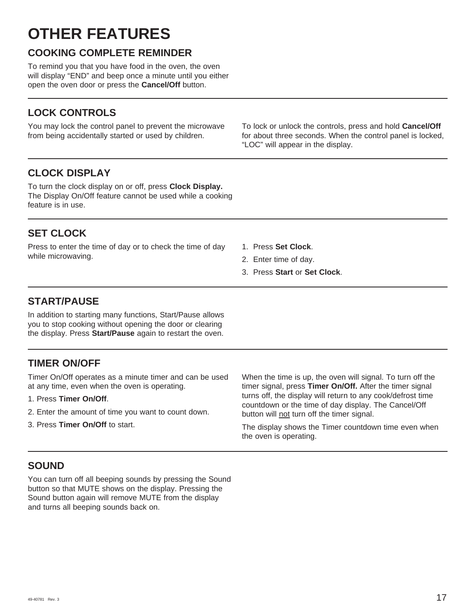# **OTHER FEATURES**

### **COOKING COMPLETE REMINDER**

To remind you that you have food in the oven, the oven will display "END" and beep once a minute until you either open the oven door or press the **Cancel/Off** button.

### **LOCK CONTROLS**

You may lock the control panel to prevent the microwave from being accidentally started or used by children.

To lock or unlock the controls, press and hold **Cancel/Off**  for about three seconds. When the control panel is locked, "LOC" will appear in the display.

### **CLOCK DISPLAY**

To turn the clock display on or off, press **Clock Display.** The Display On/Off feature cannot be used while a cooking feature is in use.

### **SET CLOCK**

Press to enter the time of day or to check the time of day while microwaving.

- 1. Press **Set Clock**.
- 2. Enter time of day.
- 3. Press **Start** or **Set Clock**.

### **START/PAUSE**

In addition to starting many functions, Start/Pause allows you to stop cooking without opening the door or clearing the display. Press **Start/Pause** again to restart the oven.

### **TIMER ON/OFF**

Timer On/Off operates as a minute timer and can be used at any time, even when the oven is operating.

- 1. Press **Timer On/Off**.
- 2. Enter the amount of time you want to count down.
- 3. Press **Timer On/Off** to start.

When the time is up, the oven will signal. To turn off the timer signal, press **Timer On/Off.** After the timer signal turns off, the display will return to any cook/defrost time countdown or the time of day display. The Cancel/Off button will not turn off the timer signal.

The display shows the Timer countdown time even when the oven is operating.

### **SOUND**

You can turn off all beeping sounds by pressing the Sound button so that MUTE shows on the display. Pressing the Sound button again will remove MUTE from the display and turns all beeping sounds back on.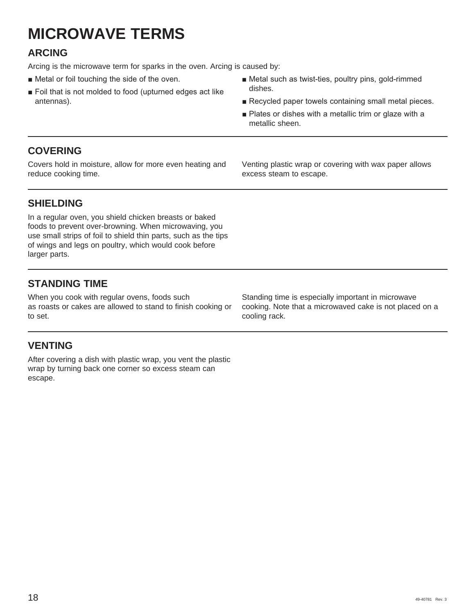# **MICROWAVE TERMS**

### **ARCING**

Arcing is the microwave term for sparks in the oven. Arcing is caused by:

- $\blacksquare$  Metal or foil touching the side of the oven.
- $\blacksquare$  Foil that is not molded to food (upturned edges act like antennas).
- $\blacksquare$  Metal such as twist-ties, poultry pins, gold-rimmed dishes.
- Recycled paper towels containing small metal pieces.
- Plates or dishes with a metallic trim or glaze with a metallic sheen.

### **COVERING**

Covers hold in moisture, allow for more even heating and reduce cooking time.

Venting plastic wrap or covering with wax paper allows excess steam to escape.

### **SHIELDING**

In a regular oven, you shield chicken breasts or baked foods to prevent over-browning. When microwaving, you use small strips of foil to shield thin parts, such as the tips of wings and legs on poultry, which would cook before larger parts.

### **STANDING TIME**

When you cook with regular ovens, foods such as roasts or cakes are allowed to stand to finish cooking or to set.

### **VENTING**

After covering a dish with plastic wrap, you vent the plastic wrap by turning back one corner so excess steam can escape.

Standing time is especially important in microwave cooking. Note that a microwaved cake is not placed on a cooling rack.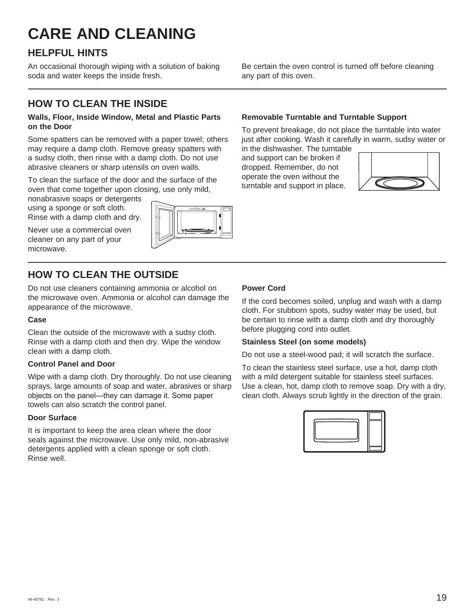# **CARE AND CLEANING**

### **HELPFUL HINTS**

An occasional thorough wiping with a solution of baking soda and water keeps the inside fresh.

### **HOW TO CLEAN THE INSIDE**

#### **Walls, Floor, Inside Window, Metal and Plastic Parts on the Door**

Some spatters can be removed with a paper towel; others may require a damp cloth. Remove greasy spatters with a sudsy cloth, then rinse with a damp cloth. Do not use abrasive cleaners or sharp utensils on oven walls.

To clean the surface of the door and the surface of the oven that come together upon closing, use only mild,

nonabrasive soaps or detergents using a sponge or soft cloth.

Rinse with a damp cloth and dry.

Never use a commercial oven cleaner on any part of your microwave.



### **HOW TO CLEAN THE OUTSIDE**

Do not use cleaners containing ammonia or alcohol on the microwave oven. Ammonia or alcohol can damage the appearance of the microwave.

#### **Case**

Clean the outside of the microwave with a sudsy cloth. Rinse with a damp cloth and then dry. Wipe the window clean with a damp cloth.

#### **Control Panel and Door**

Wipe with a damp cloth. Dry thoroughly. Do not use cleaning sprays, large amounts of soap and water, abrasives or sharp objects on the panel—they can damage it. Some paper towels can also scratch the control panel.

#### **Door Surface**

It is important to keep the area clean where the door seals against the microwave. Use only mild, non-abrasive detergents applied with a clean sponge or soft cloth. Rinse well.

Be certain the oven control is turned off before cleaning any part of this oven.

#### **Removable Turntable and Turntable Support**

To prevent breakage, do not place the turntable into water just after cooking. Wash it carefully in warm, sudsy water or in the dishwasher. The turntable

and support can be broken if dropped. Remember, do not operate the oven without the turntable and support in place.



#### **Power Cord**

If the cord becomes soiled, unplug and wash with a damp cloth. For stubborn spots, sudsy water may be used, but be certain to rinse with a damp cloth and dry thoroughly before plugging cord into outlet.

#### **Stainless Steel (on some models)**

Do not use a steel-wood pad; it will scratch the surface.

To clean the stainless steel surface, use a hot, damp cloth with a mild detergent suitable for stainless steel surfaces. Use a clean, hot, damp cloth to remove soap. Dry with a dry, clean cloth. Always scrub lightly in the direction of the grain.

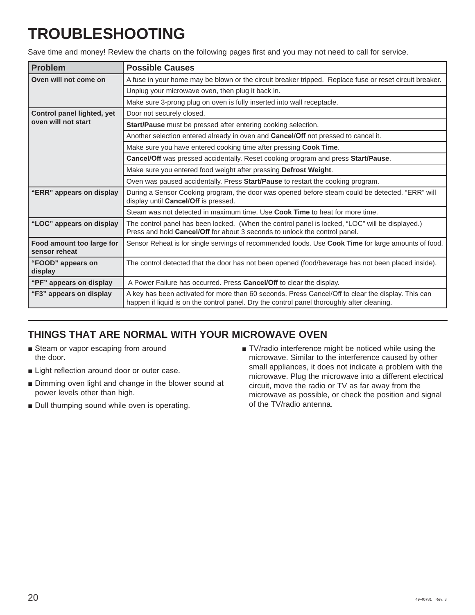# **TROUBLESHOOTING**

Save time and money! Review the charts on the following pages first and you may not need to call for service.

| <b>Problem</b>                             | <b>Possible Causes</b>                                                                                                                                                                           |  |  |
|--------------------------------------------|--------------------------------------------------------------------------------------------------------------------------------------------------------------------------------------------------|--|--|
| Oven will not come on                      | A fuse in your home may be blown or the circuit breaker tripped. Replace fuse or reset circuit breaker.                                                                                          |  |  |
|                                            | Unplug your microwave oven, then plug it back in.                                                                                                                                                |  |  |
|                                            | Make sure 3-prong plug on oven is fully inserted into wall receptacle.                                                                                                                           |  |  |
| Control panel lighted, yet                 | Door not securely closed.                                                                                                                                                                        |  |  |
| oven will not start                        | Start/Pause must be pressed after entering cooking selection.                                                                                                                                    |  |  |
|                                            | Another selection entered already in oven and Cancel/Off not pressed to cancel it.                                                                                                               |  |  |
|                                            | Make sure you have entered cooking time after pressing Cook Time.                                                                                                                                |  |  |
|                                            | Cancel/Off was pressed accidentally. Reset cooking program and press Start/Pause.                                                                                                                |  |  |
|                                            | Make sure you entered food weight after pressing Defrost Weight.                                                                                                                                 |  |  |
|                                            | Oven was paused accidentally. Press Start/Pause to restart the cooking program.                                                                                                                  |  |  |
| "ERR" appears on display                   | During a Sensor Cooking program, the door was opened before steam could be detected. "ERR" will<br>display until Cancel/Off is pressed.                                                          |  |  |
|                                            | Steam was not detected in maximum time. Use Cook Time to heat for more time.                                                                                                                     |  |  |
| "LOC" appears on display                   | The control panel has been locked. (When the control panel is locked, "LOC" will be displayed.)<br>Press and hold Cancel/Off for about 3 seconds to unlock the control panel.                    |  |  |
| Food amount too large for<br>sensor reheat | Sensor Reheat is for single servings of recommended foods. Use Cook Time for large amounts of food.                                                                                              |  |  |
| "FOOD" appears on<br>display               | The control detected that the door has not been opened (food/beverage has not been placed inside).                                                                                               |  |  |
| "PF" appears on display                    | A Power Failure has occurred. Press Cancel/Off to clear the display.                                                                                                                             |  |  |
| "F3" appears on display                    | A key has been activated for more than 60 seconds. Press Cancel/Off to clear the display. This can<br>happen if liquid is on the control panel. Dry the control panel thoroughly after cleaning. |  |  |

### **THINGS THAT ARE NORMAL WITH YOUR MICROWAVE OVEN**

- Steam or vapor escaping from around the door.
- **Example Light reflection around door or outer case.**
- **Dimming oven light and change in the blower sound at** power levels other than high.
- Dull thumping sound while oven is operating.
- TV/radio interference might be noticed while using the microwave. Similar to the interference caused by other small appliances, it does not indicate a problem with the microwave. Plug the microwave into a different electrical circuit, move the radio or TV as far away from the microwave as possible, or check the position and signal of the TV/radio antenna.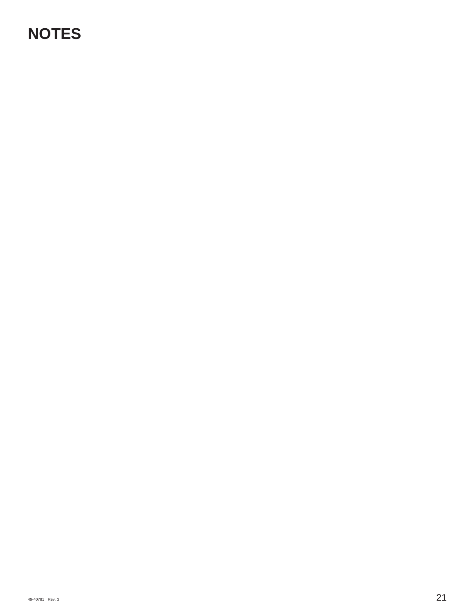# **NOTES**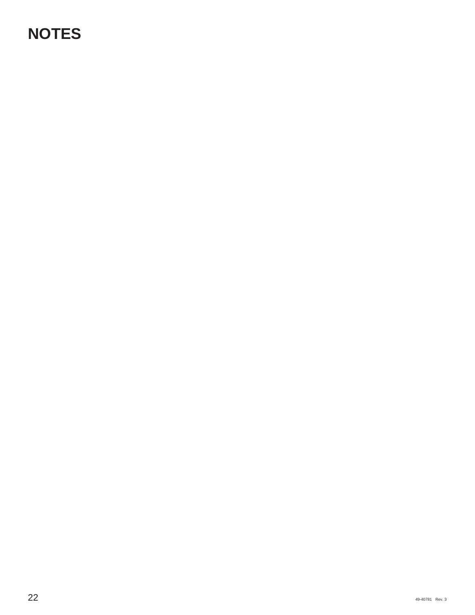# **NOTES**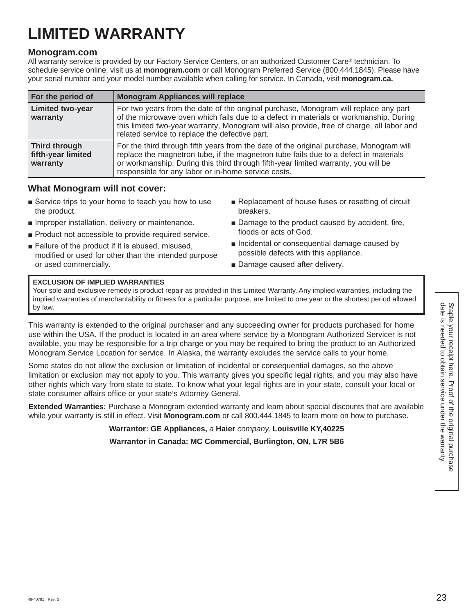# **LIMITED WARRANTY**

#### **Monogram.com**

All warranty service is provided by our Factory Service Centers, or an authorized Customer Care® technician. To schedule service online, visit us at **monogram.com** or call Monogram Preferred Service (800.444.1845). Please have your serial number and your model number available when calling for service. In Canada, visit **monogram.ca.**

| For the period of                                      | <b>Monogram Appliances will replace</b>                                                                                                                                                                                                                                                                                      |
|--------------------------------------------------------|------------------------------------------------------------------------------------------------------------------------------------------------------------------------------------------------------------------------------------------------------------------------------------------------------------------------------|
| <b>Limited two-year</b><br>warranty                    | For two years from the date of the original purchase, Monogram will replace any part<br>of the microwave oven which fails due to a defect in materials or workmanship. During<br>this limited two-year warranty, Monogram will also provide, free of charge, all labor and<br>related service to replace the defective part. |
| <b>Third through</b><br>fifth-year limited<br>warranty | For the third through fifth years from the date of the original purchase, Monogram will<br>replace the magnetron tube, if the magnetron tube fails due to a defect in materials<br>or workmanship. During this third through fifth-year limited warranty, you will be<br>responsible for any labor or in-home service costs. |

### **What Monogram will not cover:**

- $\blacksquare$  Service trips to your home to teach you how to use the product. Replacement of house fuses or resetting of circuit breakers.
- **I** Improper installation, delivery or maintenance.
- **Product not accessible to provide required service.**
- E Failure of the product if it is abused, misused. modified or used for other than the intended purpose or used commercially.
- 
- Damage to the product caused by accident, fire, floods or acts of God.
- **n** Incidental or consequential damage caused by possible defects with this appliance.
- Damage caused after delivery.

#### **EXCLUSION OF IMPLIED WARRANTIES**

Your sole and exclusive remedy is product repair as provided in this Limited Warranty. Any implied warranties, including the implied warranties of merchantability or fitness for a particular purpose, are limited to one year or the shortest period allowed by law.

This warranty is extended to the original purchaser and any succeeding owner for products purchased for home use within the USA. If the product is located in an area where service by a Monogram Authorized Servicer is not available, you may be responsible for a trip charge or you may be required to bring the product to an Authorized Monogram Service Location for service. In Alaska, the warranty excludes the service calls to your home.

Some states do not allow the exclusion or limitation of incidental or consequential damages, so the above limitation or exclusion may not apply to you. This warranty gives you specific legal rights, and you may also have other rights which vary from state to state. To know what your legal rights are in your state, consult your local or state consumer affairs office or your state's Attorney General.

**Extended Warranties:** Purchase a Monogram extended warranty and learn about special discounts that are available while your warranty is still in effect. Visit **Monogram.com** or call 800.444.1845 to learn more on how to purchase.

**Warrantor: GE Appliances,** *a* **Haier** *company,* **Louisville KY,40225**

**Warrantor in Canada: MC Commercial, Burlington, ON, L7R 5B6**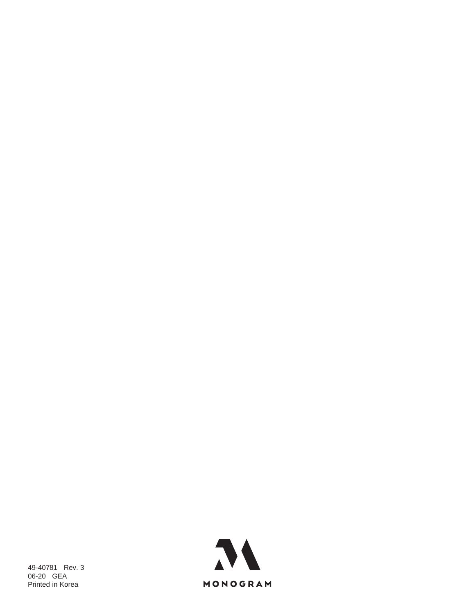49-40781 Rev. 3 06-20 GEA Printed in Korea

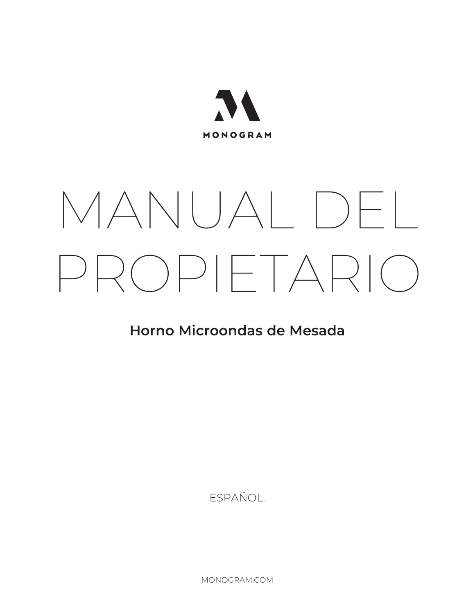

# MANUAL DEL PROPIETARIO

# **Horno Microondas de Mesada**

ESPAÑOL.

MONOGRAM.COM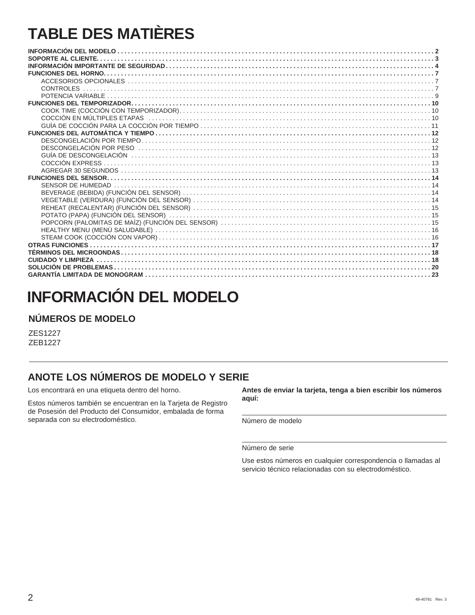# **TABLE DES MATIÈRES**

# **INFORMACIÓN DEL MODELO**

### **NÚMEROS DE MODELO**

ZES1227 ZEB1227

### **ANOTE LOS NÚMEROS DE MODELO Y SERIE**

Los encontrará en una etiqueta dentro del horno.

Estos números también se encuentran en la Tarjeta de Registro de Posesión del Producto del Consumidor, embalada de forma separada con su electrodoméstico.

**Antes de enviar la tarjeta, tenga a bien escribir los números aquí:**

Número de modelo

Número de serie

Use estos números en cualquier correspondencia o llamadas al servicio técnico relacionadas con su electrodoméstico.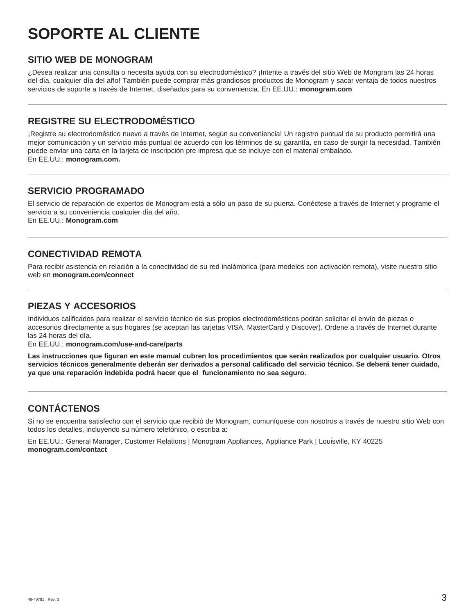# **SOPORTE AL CLIENTE**

### **SITIO WEB DE MONOGRAM**

¿Desea realizar una consulta o necesita ayuda con su electrodoméstico? ¡Intente a través del sitio Web de Mongram las 24 horas del día, cualquier día del año! También puede comprar más grandiosos productos de Monogram y sacar ventaja de todos nuestros servicios de soporte a través de Internet, diseñados para su conveniencia. En EE.UU.: **monogram.com**

### **REGISTRE SU ELECTRODOMÉSTICO**

¡Registre su electrodoméstico nuevo a través de Internet, según su conveniencia! Un registro puntual de su producto permitirá una mejor comunicación y un servicio más puntual de acuerdo con los términos de su garantía, en caso de surgir la necesidad. También puede enviar una carta en la tarjeta de inscripción pre impresa que se incluye con el material embalado. En EE.UU.: **monogram.com.** 

### **SERVICIO PROGRAMADO**

El servicio de reparación de expertos de Monogram está a sólo un paso de su puerta. Conéctese a través de Internet y programe el servicio a su conveniencia cualquier día del año. En EE.UU.: **Monogram.com** 

### **CONECTIVIDAD REMOTA**

Para recibir asistencia en relación a la conectividad de su red inalámbrica (para modelos con activación remota), visite nuestro sitio web en **monogram.com/connect**

### **PIEZAS Y ACCESORIOS**

Individuos calificados para realizar el servicio técnico de sus propios electrodomésticos podrán solicitar el envío de piezas o accesorios directamente a sus hogares (se aceptan las tarjetas VISA, MasterCard y Discover). Ordene a través de Internet durante las 24 horas del día.

En EE.UU.: **monogram.com/use-and-care/parts**

**Las instrucciones que figuran en este manual cubren los procedimientos que serán realizados por cualquier usuario. Otros servicios técnicos generalmente deberán ser derivados a personal calificado del servicio técnico. Se deberá tener cuidado, ya que una reparación indebida podrá hacer que el funcionamiento no sea seguro.**

### **CONTÁCTENOS**

Si no se encuentra satisfecho con el servicio que recibió de Monogram, comuníquese con nosotros a través de nuestro sitio Web con todos los detalles, incluyendo su número telefónico, o escriba a:

En EE.UU.: General Manager, Customer Relations | Monogram Appliances, Appliance Park | Louisville, KY 40225 **monogram.com/contact**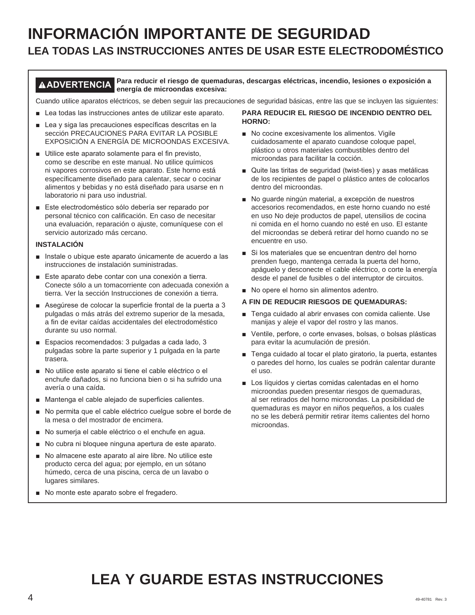# **INFORMACIÓN IMPORTANTE DE SEGURIDAD LEA TODAS LAS INSTRUCCIONES ANTES DE USAR ESTE ELECTRODOMÉSTICO**

#### **ADVERTENCIA Para reducir el riesgo de quemaduras, descargas eléctricas, incendio, lesiones o exposición a energía de microondas excesiva:**

Cuando utilice aparatos eléctricos, se deben seguir las precauciones de seguridad básicas, entre las que se incluyen las siguientes:

- $\blacksquare$  Lea todas las instrucciones antes de utilizar este aparato.
- $\blacksquare$  Lea y siga las precauciones específicas descritas en la sección PRECAUCIONES PARA EVITAR LA POSIBLE EXPOSICIÓN A ENERGÍA DE MICROONDAS EXCESIVA.
- Utilice este aparato solamente para el fin previsto, como se describe en este manual. No utilice químicos ni vapores corrosivos en este aparato. Este horno está específicamente diseñado para calentar, secar o cocinar alimentos y bebidas y no está diseñado para usarse en n laboratorio ni para uso industrial.
- Este electrodoméstico sólo debería ser reparado por personal técnico con calificación. En caso de necesitar una evaluación, reparación o ajuste, comuníquese con el servicio autorizado más cercano.

#### **INSTALACIÓN**

- Instale o ubique este aparato únicamente de acuerdo a las instrucciones de instalación suministradas.
- Este aparato debe contar con una conexión a tierra. Conecte sólo a un tomacorriente con adecuada conexión a tierra. Ver la sección Instrucciones de conexión a tierra.
- Asequirese de colocar la superficie frontal de la puerta a 3 pulgadas o más atrás del extremo superior de la mesada, a fin de evitar caídas accidentales del electrodoméstico durante su uso normal.
- Espacios recomendados: 3 pulgadas a cada lado, 3 pulgadas sobre la parte superior y 1 pulgada en la parte trasera.
- No utilice este aparato si tiene el cable eléctrico o el enchufe dañados, si no funciona bien o si ha sufrido una avería o una caída.
- Mantenga el cable alejado de superficies calientes.
- No permita que el cable eléctrico cuelque sobre el borde de la mesa o del mostrador de encimera.
- No sumerja el cable eléctrico o el enchufe en agua.
- No cubra ni bloquee ninguna apertura de este aparato.
- No almacene este aparato al aire libre. No utilice este producto cerca del agua; por ejemplo, en un sótano húmedo, cerca de una piscina, cerca de un lavabo o lugares similares.
- No monte este aparato sobre el fregadero.

#### **PARA REDUCIR EL RIESGO DE INCENDIO DENTRO DEL HORNO:**

- No cocine excesivamente los alimentos. Vigile cuidadosamente el aparato cuandose coloque papel, plástico u otros materiales combustibles dentro del microondas para facilitar la cocción.
- $\blacksquare$  Quite las tiritas de seguridad (twist-ties) y asas metálicas de los recipientes de papel o plástico antes de colocarlos dentro del microondas.
- No guarde ningún material, a excepción de nuestros accesorios recomendados, en este horno cuando no esté en uso No deje productos de papel, utensilios de cocina ni comida en el horno cuando no esté en uso. El estante del microondas se deberá retirar del horno cuando no se encuentre en uso.
- Si los materiales que se encuentran dentro del horno prenden fuego, mantenga cerrada la puerta del horno, apáguelo y desconecte el cable eléctrico, o corte la energía desde el panel de fusibles o del interruptor de circuitos.
- No opere el horno sin alimentos adentro.

#### **A FIN DE REDUCIR RIESGOS DE QUEMADURAS:**

- Tenga cuidado al abrir envases con comida caliente. Use manijas y aleje el vapor del rostro y las manos.
- Ventile, perfore, o corte envases, bolsas, o bolsas plásticas para evitar la acumulación de presión.
- F Tenga cuidado al tocar el plato giratorio, la puerta, estantes o paredes del horno, los cuales se podrán calentar durante el uso.
- $\blacksquare$  Los líquidos y ciertas comidas calentadas en el horno microondas pueden presentar riesgos de quemaduras, al ser retirados del horno microondas. La posibilidad de quemaduras es mayor en niños pequeños, a los cuales no se les deberá permitir retirar ítems calientes del horno microondas.

# **LEA Y GUARDE ESTAS INSTRUCCIONES**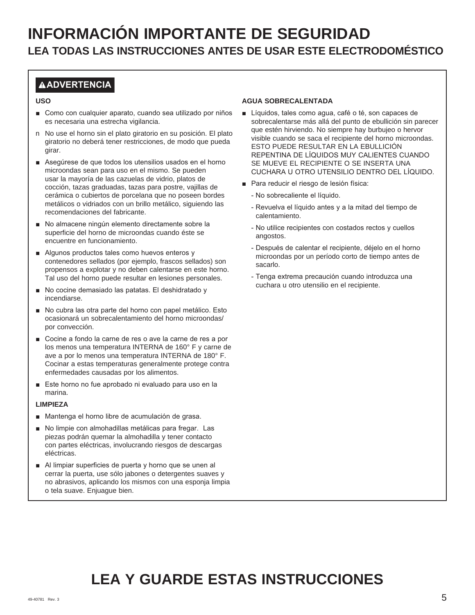### **ADVERTENCIA**

#### **USO**

- Como con cualquier aparato, cuando sea utilizado por niños es necesaria una estrecha vigilancia.
- n No use el horno sin el plato giratorio en su posición. El plato giratorio no deberá tener restricciones, de modo que pueda girar.
- Asequirese de que todos los utensilios usados en el horno microondas sean para uso en el mismo. Se pueden usar la mayoría de las cazuelas de vidrio, platos de cocción, tazas graduadas, tazas para postre, vajillas de cerámica o cubiertos de porcelana que no poseen bordes metálicos o vidriados con un brillo metálico, siguiendo las recomendaciones del fabricante.
- No almacene ningún elemento directamente sobre la superficie del horno de microondas cuando éste se encuentre en funcionamiento.
- $\blacksquare$  Algunos productos tales como huevos enteros y contenedores sellados (por ejemplo, frascos sellados) son propensos a explotar y no deben calentarse en este horno. Tal uso del horno puede resultar en lesiones personales.
- No cocine demasiado las patatas. El deshidratado y incendiarse.
- No cubra las otra parte del horno con papel metálico. Esto ocasionará un sobrecalentamiento del horno microondas/ por convección.
- Cocine a fondo la carne de res o ave la carne de res a por los menos una temperatura INTERNA de 160° F y carne de ave a por lo menos una temperatura INTERNA de 180° F. Cocinar a estas temperaturas generalmente protege contra enfermedades causadas por los alimentos.
- Este horno no fue aprobado ni evaluado para uso en la marina.

#### **LIMPIEZA**

- Mantenga el horno libre de acumulación de grasa.
- No limpie con almohadillas metálicas para fregar. Las piezas podrán quemar la almohadilla y tener contacto con partes eléctricas, involucrando riesgos de descargas eléctricas.
- $\blacksquare$  Al limpiar superficies de puerta y horno que se unen al cerrar la puerta, use sólo jabones o detergentes suaves y no abrasivos, aplicando los mismos con una esponja limpia o tela suave. Enjuague bien.

#### **AGUA SOBRECALENTADA**

- E Líquidos, tales como aqua, café o té, son capaces de sobrecalentarse más allá del punto de ebullición sin parecer que estén hirviendo. No siempre hay burbujeo o hervor visible cuando se saca el recipiente del horno microondas. ESTO PUEDE RESULTAR EN LA EBULLICIÓN REPENTINA DE LÍQUIDOS MUY CALIENTES CUANDO SE MUEVE EL RECIPIENTE O SE INSERTA UNA CUCHARA U OTRO UTENSILIO DENTRO DEL LÍQUIDO.
- Para reducir el riesgo de lesión física:
	- No sobrecaliente el líquido.
	- Revuelva el líquido antes y a la mitad del tiempo de calentamiento.
	- No utilice recipientes con costados rectos y cuellos angostos.
	- Después de calentar el recipiente, déjelo en el horno microondas por un período corto de tiempo antes de sacarlo.
	- Tenga extrema precaución cuando introduzca una cuchara u otro utensilio en el recipiente.

# **LEA Y GUARDE ESTAS INSTRUCCIONES**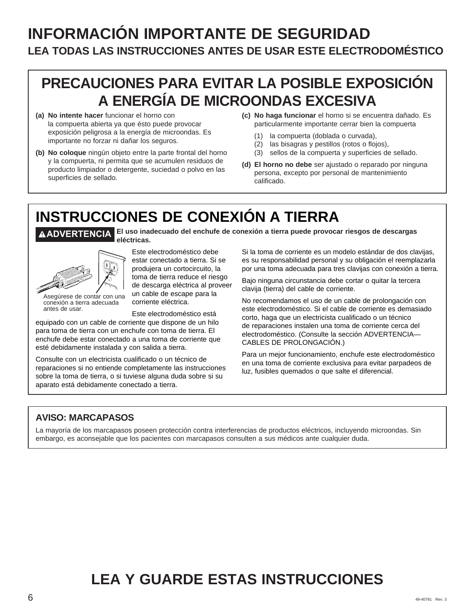# **INFORMACIÓN IMPORTANTE DE SEGURIDAD LEA TODAS LAS INSTRUCCIONES ANTES DE USAR ESTE ELECTRODOMÉSTICO**

# **PRECAUCIONES PARA EVITAR LA POSIBLE EXPOSICIÓN A ENERGÍA DE MICROONDAS EXCESIVA**

- **(a) No intente hacer** funcionar el horno con la compuerta abierta ya que ésto puede provocar exposición peligrosa a la energía de microondas. Es importante no forzar ni dañar los seguros.
- **(b) No coloque** ningún objeto entre la parte frontal del horno y la compuerta, ni permita que se acumulen residuos de producto limpiador o detergente, suciedad o polvo en las superficies de sellado.

**eléctricas.** 

- **(c) No haga funcionar** el horno si se encuentra dañado. Es particularmente importante cerrar bien la compuerta
	- (1) la compuerta (doblada o curvada),
	- (2) las bisagras y pestillos (rotos o flojos),
	- (3) sellos de la compuerta y superficies de sellado.
- **(d) El horno no debe** ser ajustado o reparado por ninguna persona, excepto por personal de mantenimiento calificado.

# **INSTRUCCIONES DE CONEXIÓN A TIERRA ADVERTENCIA El uso inadecuado del enchufe de conexión a tierra puede provocar riesgos de descargas**



Asegúrese de contar con una conexión a tierra adecuada antes de usar.

Este electrodoméstico debe estar conectado a tierra. Si se produjera un cortocircuito, la toma de tierra reduce el riesgo de descarga eléctrica al proveer un cable de escape para la corriente eléctrica.

Este electrodoméstico está

equipado con un cable de corriente que dispone de un hilo para toma de tierra con un enchufe con toma de tierra. El enchufe debe estar conectado a una toma de corriente que esté debidamente instalada y con salida a tierra.

Consulte con un electricista cualificado o un técnico de reparaciones si no entiende completamente las instrucciones sobre la toma de tierra, o si tuviese alguna duda sobre si su aparato está debidamente conectado a tierra.

Si la toma de corriente es un modelo estándar de dos clavijas, es su responsabilidad personal y su obligación el reemplazarla por una toma adecuada para tres clavijas con conexión a tierra.

Bajo ninguna circunstancia debe cortar o quitar la tercera clavija (tierra) del cable de corriente.

No recomendamos el uso de un cable de prolongación con este electrodoméstico. Si el cable de corriente es demasiado corto, haga que un electricista cualificado o un técnico de reparaciones instalen una toma de corriente cerca del electrodoméstico. (Consulte la sección ADVERTENCIA— CABLES DE PROLONGACIÓN.)

Para un mejor funcionamiento, enchufe este electrodoméstico en una toma de corriente exclusiva para evitar parpadeos de luz, fusibles quemados o que salte el diferencial.

### **AVISO: MARCAPASOS**

La mayoría de los marcapasos poseen protección contra interferencias de productos eléctricos, incluyendo microondas. Sin embargo, es aconsejable que los pacientes con marcapasos consulten a sus médicos ante cualquier duda.

# **LEA Y GUARDE ESTAS INSTRUCCIONES**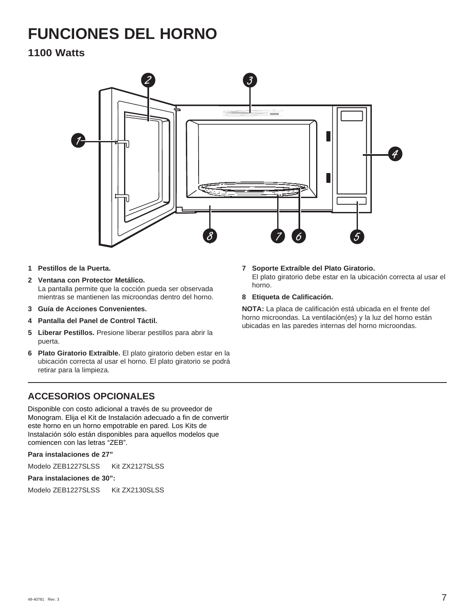# **FUNCIONES DEL HORNO**

### **1100 Watts**



- **1 Pestillos de la Puerta.**
- **2 Ventana con Protector Metálico.**  La pantalla permite que la cocción pueda ser observada mientras se mantienen las microondas dentro del horno.
- **3 Guía de Acciones Convenientes.**
- **4 Pantalla del Panel de Control Táctil.**
- **5 Liberar Pestillos.** Presione liberar pestillos para abrir la puerta.
- **6 Plato Giratorio Extraíble.** El plato giratorio deben estar en la ubicación correcta al usar el horno. El plato giratorio se podrá retirar para la limpieza.

### **ACCESORIOS OPCIONALES**

Disponible con costo adicional a través de su proveedor de Monogram. Elija el Kit de Instalación adecuado a fin de convertir este horno en un horno empotrable en pared. Los Kits de Instalación sólo están disponibles para aquellos modelos que comiencen con las letras "ZEB".

**Para instalaciones de 27"**

Modelo ZEB1227SLSS Kit ZX2127SLSS

#### **Para instalaciones de 30":**

Modelo ZEB1227SLSS Kit ZX2130SLSS

#### **7 Soporte Extraíble del Plato Giratorio.**

El plato giratorio debe estar en la ubicación correcta al usar el horno.

#### **8 Etiqueta de Calificación.**

**NOTA:** La placa de calificación está ubicada en el frente del horno microondas. La ventilación(es) y la luz del horno están ubicadas en las paredes internas del horno microondas.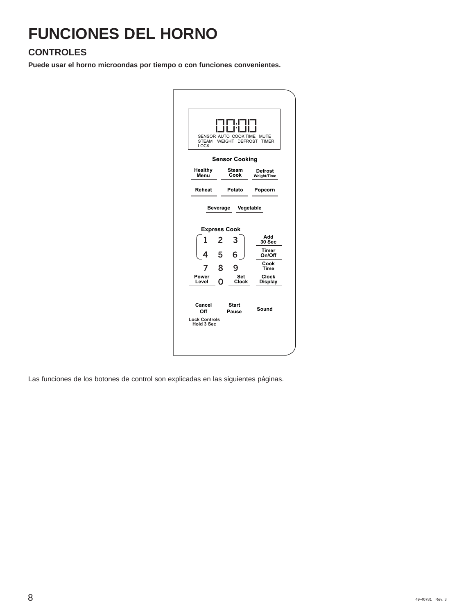# **FUNCIONES DEL HORNO**

### **CONTROLES**

**Puede usar el horno microondas por tiempo o con funciones convenientes.**

| <b>STEAM</b><br>LOCK                                | FIF1.FI<br>1 11 11 1<br>SENSOR AUTO COOK TIME<br>WEIGHT DEFROST | <b>MUTE</b><br><b>TIMER</b>                                                                     |
|-----------------------------------------------------|-----------------------------------------------------------------|-------------------------------------------------------------------------------------------------|
|                                                     | <b>Sensor Cooking</b>                                           |                                                                                                 |
| Healthy<br>Menu                                     | Steam<br>Cook                                                   | Defrost<br><b>Weight/Time</b>                                                                   |
| Reheat                                              | Potato                                                          | Popcorn                                                                                         |
| <b>Beverage</b><br>1<br>4<br>Power<br>Level         | <b>Express Cook</b><br>2<br>3<br>5<br>8<br>Set<br>O.<br>Clock   | Vegetable<br>Add<br><b>30 Sec</b><br>Timer<br>On/Off<br>Cook<br>Time<br>Clock<br><b>Display</b> |
| Cancel<br>Off<br><b>Lock Controls</b><br>Hold 3 Sec | <b>Start</b><br>Pause                                           | Sound                                                                                           |

Las funciones de los botones de control son explicadas en las siguientes páginas.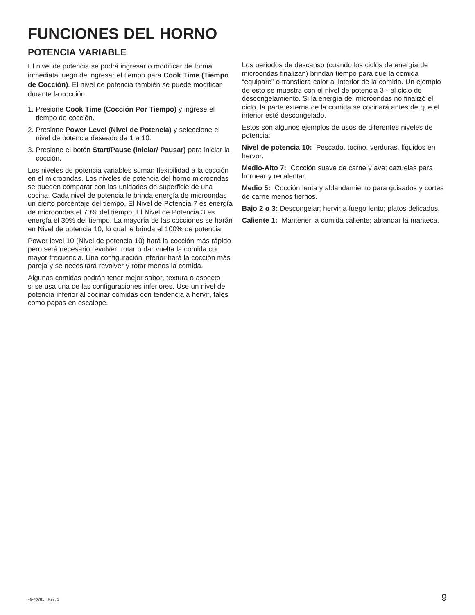# **FUNCIONES DEL HORNO**

### **POTENCIA VARIABLE**

El nivel de potencia se podrá ingresar o modificar de forma inmediata luego de ingresar el tiempo para **Cook Time (Tiempo de Cocción)**. El nivel de potencia también se puede modificar durante la cocción.

- 1. Presione **Cook Time (Cocción Por Tiempo)** y ingrese el tiempo de cocción.
- 2. Presione **Power Level (Nivel de Potencia)** y seleccione el nivel de potencia deseado de 1 a 10.
- 3. Presione el botón **Start/Pause (Iniciar/ Pausar)** para iniciar la cocción.

Los niveles de potencia variables suman flexibilidad a la cocción en el microondas. Los niveles de potencia del horno microondas se pueden comparar con las unidades de superficie de una cocina. Cada nivel de potencia le brinda energía de microondas un cierto porcentaje del tiempo. El Nivel de Potencia 7 es energía de microondas el 70% del tiempo. El Nivel de Potencia 3 es energía el 30% del tiempo. La mayoría de las cocciones se harán en Nivel de potencia 10, lo cual le brinda el 100% de potencia.

Power level 10 (Nivel de potencia 10) hará la cocción más rápido pero será necesario revolver, rotar o dar vuelta la comida con mayor frecuencia. Una configuración inferior hará la cocción más pareja y se necesitará revolver y rotar menos la comida.

Algunas comidas podrán tener mejor sabor, textura o aspecto si se usa una de las configuraciones inferiores. Use un nivel de potencia inferior al cocinar comidas con tendencia a hervir, tales como papas en escalope.

Los períodos de descanso (cuando los ciclos de energía de microondas finalizan) brindan tiempo para que la comida "equipare" o transfiera calor al interior de la comida. Un ejemplo de esto se muestra con el nivel de potencia 3 - el ciclo de descongelamiento. Si la energía del microondas no finalizó el ciclo, la parte externa de la comida se cocinará antes de que el interior esté descongelado.

Estos son algunos ejemplos de usos de diferentes niveles de potencia:

**Nivel de potencia 10:** Pescado, tocino, verduras, líquidos en hervor.

**Medio-Alto 7:** Cocción suave de carne y ave; cazuelas para hornear y recalentar.

**Medio 5:** Cocción lenta y ablandamiento para guisados y cortes de carne menos tiernos.

**Bajo 2 o 3:** Descongelar; hervir a fuego lento; platos delicados.

**Caliente 1:** Mantener la comida caliente; ablandar la manteca.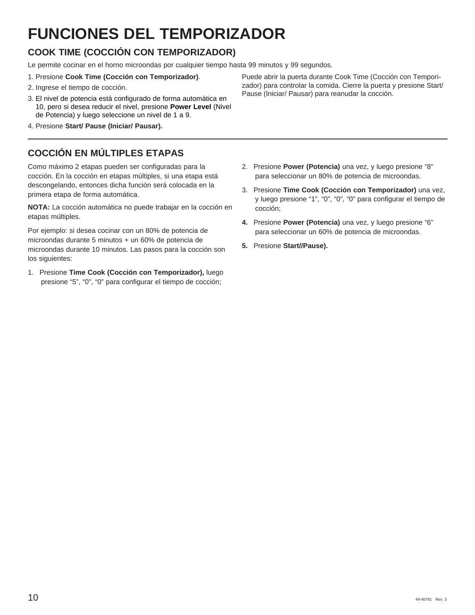# **FUNCIONES DEL TEMPORIZADOR**

### **COOK TIME (COCCIÓN CON TEMPORIZADOR)**

Le permite cocinar en el horno microondas por cualquier tiempo hasta 99 minutos y 99 segundos.

- 1. Presione **Cook Time (Cocción con Temporizador)**.
- 2. Ingrese el tiempo de cocción.
- 3. El nivel de potencia está configurado de forma automática en 10, pero si desea reducir el nivel, presione **Power Level** (Nivel de Potencia) y luego seleccione un nivel de 1 a 9.
- 4. Presione **Start/ Pause (Iniciar/ Pausar).**

### **COCCIÓN EN MÚLTIPLES ETAPAS**

Como máximo 2 etapas pueden ser configuradas para la cocción. En la cocción en etapas múltiples, si una etapa está descongelando, entonces dicha función será colocada en la primera etapa de forma automática.

**NOTA:** La cocción automática no puede trabajar en la cocción en etapas múltiples.

Por ejemplo: si desea cocinar con un 80% de potencia de microondas durante 5 minutos + un 60% de potencia de microondas durante 10 minutos. Las pasos para la cocción son los siguientes:

1. Presione **Time Cook (Cocción con Temporizador),** luego presione "5", "0", "0" para configurar el tiempo de cocción;

Puede abrir la puerta durante Cook Time (Cocción con Tempori zador) para controlar la comida. Cierre la puerta y presione Start/ Pause (Iniciar/ Pausar) para reanudar la cocción.

- 2. Presione **Power (Potencia)** una vez, y luego presione "8" para seleccionar un 80% de potencia de microondas.
- 3. Presione **Time Cook (Cocción con Temporizador)** una vez, y luego presione "1", "0", "0", "0" para configurar el tiempo de cocción;
- **4.** Presione **Power (Potencia)** una vez, y luego presione "6" para seleccionar un 60% de potencia de microondas.
- **5.** Presione **Start//Pause).**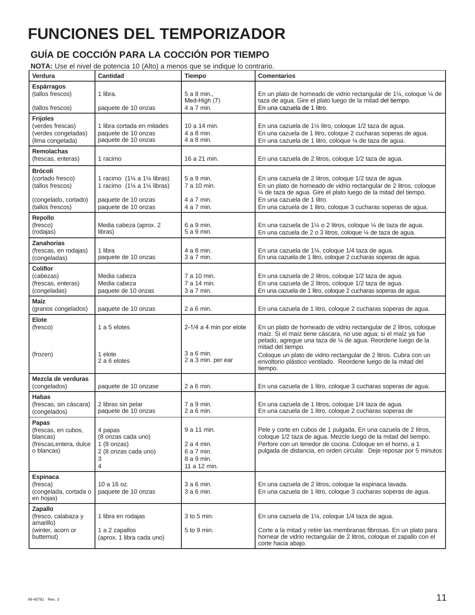# **FUNCIONES DEL TEMPORIZADOR**

### **GUÍA DE COCCIÓN PARA LA COCCIÓN POR TIEMPO**

**NOTA:** Use el nivel de potencia 10 (Alto) a menos que se indique lo contrario.

| Verdura                                                                                            | <b>Cantidad</b>                                                                                                                                 | Tiempo                                                                | <b>Comentarios</b>                                                                                                                                                                                                                                                                                                                                                         |
|----------------------------------------------------------------------------------------------------|-------------------------------------------------------------------------------------------------------------------------------------------------|-----------------------------------------------------------------------|----------------------------------------------------------------------------------------------------------------------------------------------------------------------------------------------------------------------------------------------------------------------------------------------------------------------------------------------------------------------------|
| Espárragos<br>(tallos frescos)<br>(tallos frescos)                                                 | 1 libra.<br>paquete de 10 onzas                                                                                                                 | 5 a 8 min.,<br>Med-High (7)<br>4 a 7 min.                             | En un plato de horneado de vidrio rectangular de 1 $\frac{1}{4}$ , coloque $\frac{1}{4}$ de<br>taza de agua. Gire el plato luego de la mitad del tiempo.<br>En una cazuela de 1 litro.                                                                                                                                                                                     |
| <b>Frijoles</b><br>(verdes frescas)<br>(verdes congeladas)<br>(lima congelada)                     | 1 libra cortada en mitades<br>paquete de 10 onzas<br>paquete de 10 onzas                                                                        | 10 a 14 min.<br>4 a 8 min.<br>4 a 8 min.                              | En una cazuela de 1¼ litro, coloque 1/2 taza de agua.<br>En una cazuela de 1 litro, coloque 2 cucharas soperas de agua.<br>En una cazuela de 1 litro, coloque ¼ de taza de agua.                                                                                                                                                                                           |
| <b>Remolachas</b><br>(frescas, enteras)                                                            | 1 racimo                                                                                                                                        | 16 a 21 min.                                                          | En una cazuela de 2 litros, coloque 1/2 taza de agua.                                                                                                                                                                                                                                                                                                                      |
| <b>Brócoli</b><br>(cortado fresco)<br>(tallos frescos)<br>(congelado, cortado)<br>(tallos frescos) | 1 racimo $(1\% \text{ a } 1\% \text{ libras})$<br>1 racimo $(1\frac{1}{4} a 1\frac{1}{4}$ libras)<br>paquete de 10 onzas<br>paquete de 10 onzas | 5 a 9 min.<br>7 a 10 min.<br>4 a 7 min.<br>4 a 7 min.                 | En una cazuela de 2 litros, coloque 1/2 taza de agua.<br>En un plato de horneado de vidrio rectangular de 2 litros, coloque<br>1/4 de taza de agua. Gire el plato luego de la mitad del tiempo.<br>En una cazuela de 1 litro.<br>En una cazuela de 1 litro, coloque 3 cucharas soperas de agua.                                                                            |
| Repollo<br>(fresco)<br>(rodajas)                                                                   | Media cabeza (aprox. 2<br>libras)                                                                                                               | 6 a 9 min.<br>5 a 9 min.                                              | En una cazuela de 1¼ o 2 litros, coloque ¼ de taza de agua.<br>En una cazuela de 2 o 3 litros, coloque ¼ de taza de agua.                                                                                                                                                                                                                                                  |
| Zanahorias<br>(frescas, en rodajas)<br>(congeladas)                                                | 1 libra<br>paquete de 10 onzas                                                                                                                  | 4 a 8 min.<br>3 a 7 min.                                              | En una cazuela de 1¼, coloque 1/4 taza de agua.<br>En una cazuela de 1 litro, coloque 2 cucharas soperas de agua.                                                                                                                                                                                                                                                          |
| <b>Coliflor</b><br>(cabezas)<br>(frescas, enteras)<br>(congeladas)                                 | Media cabeza<br>Media cabeza<br>paquete de 10 onzas                                                                                             | 7 a 10 min.<br>7 a 14 min.<br>3 a 7 min.                              | En una cazuela de 2 litros, coloque 1/2 taza de agua.<br>En una cazuela de 2 litros, coloque 1/2 taza de agua.<br>En una cazuela de 1 litro, coloque 2 cucharas soperas de agua.                                                                                                                                                                                           |
| Maíz<br>(granos congelados)                                                                        | paquete de 10 onzas                                                                                                                             | $2a6$ min.                                                            | En una cazuela de 1 litro, coloque 2 cucharas soperas de agua.                                                                                                                                                                                                                                                                                                             |
| Elote<br>(fresco)<br>(frozen)                                                                      | 1 a 5 elotes<br>1 elote<br>2 a 6 elotes                                                                                                         | $2-1/4$ a 4 min por elote<br>$3a6$ min.<br>2 a 3 min. per ear         | En un plato de horneado de vidrio rectangular de 2 litros, coloque<br>maíz. Si el maíz tiene cáscara, no use agua; si el maíz ya fue<br>pelado, agregue una taza de 1/4 de agua. Reordene luego de la<br>mitad del tiempo.<br>Coloque un plato de vidrio rectangular de 2 litros. Cubra con un<br>envoltorio plástico ventilado. Reordene luego de la mitad del<br>tiempo. |
| Mezcla de verduras<br>(congelados)                                                                 | paquete de 10 onzase                                                                                                                            | 2 a 6 min.                                                            | En una cazuela de 1 litro, coloque 3 cucharas soperas de agua.                                                                                                                                                                                                                                                                                                             |
| <b>Habas</b><br>(frescas, sin cáscara)<br>(congelados)                                             | 2 libras sin pelar<br>paquete de 10 onzas                                                                                                       | 7 a 9 min.<br>2 a 6 min.                                              | En una cazuela de 1 litros, cologue 1/4 taza de agua.<br>En una cazuela de 1 litro, coloque 2 cucharas soperas de                                                                                                                                                                                                                                                          |
| Papas<br>(frescas, en cubos,<br>blancas)<br>(frescas, entera, dulce<br>o blancas)                  | 4 papas<br>(8 onzas cada uno)<br>$1(8 \text{ onzas})$<br>2 (8 onzas cada uno)<br>3<br>4                                                         | 9 a 11 min.<br>2 a 4 min.<br>6 a 7 min.<br>8 a 9 min.<br>11 a 12 min. | Pele y corte en cubos de 1 pulgada. En una cazuela de 2 litros,<br>coloque 1/2 taza de agua. Mezcle luego de la mitad del tiempo.<br>Perfore con un tenedor de cocina. Coloque en el horno, a 1<br>pulgada de distancia, en orden circular. Deje reposar por 5 minutos                                                                                                     |
| <b>Espinaca</b><br>(fresca)<br>(congelada, cortada o<br>en hojas)                                  | 10 a 16 oz.<br>paquete de 10 onzas                                                                                                              | 3 a 6 min.<br>3 a 6 min.                                              | En una cazuela de 2 litros, coloque la espinaca lavada.<br>En una cazuela de 1 litro, coloque 3 cucharas soperas de agua.                                                                                                                                                                                                                                                  |
| Zapallo<br>(fresco, calabaza y<br>amarillo)<br>(winter, acorn or<br>butternut)                     | 1 libra en rodajas<br>1 a 2 zapallos<br>(aprox. 1 libra cada uno)                                                                               | 3 to 5 min.<br>5 to 9 min.                                            | En una cazuela de 1¼, coloque 1/4 taza de agua.<br>Corte a la mitad y retire las membranas fibrosas. En un plato para<br>hornear de vidrio rectangular de 2 litros, coloque el zapallo con el<br>corte hacia abajo.                                                                                                                                                        |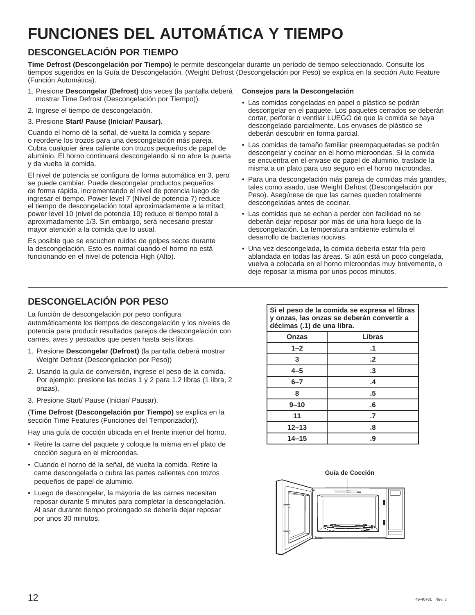# **FUNCIONES DEL AUTOMÁTICA Y TIEMPO**

### **DESCONGELACIÓN POR TIEMPO**

**Time Defrost (Descongelación por Tiempo)** le permite descongelar durante un período de tiempo seleccionado. Consulte los tiempos sugeridos en la Guía de Descongelación. (Weight Defrost (Descongelación por Peso) se explica en la sección Auto Feature (Función Automática).

- 1. Presione **Descongelar (Defrost)** dos veces (la pantalla deberá mostrar Time Defrost (Descongelación por Tiempo)).
- 2. Ingrese el tiempo de descongelación.

#### 3. Presione **Start/ Pause (Iniciar/ Pausar).**

Cuando el horno dé la señal, dé vuelta la comida y separe o reordene los trozos para una descongelación más pareja. Cubra cualquier área caliente con trozos pequeños de papel de aluminio. El horno continuará descongelando si no abre la puerta y da vuelta la comida.

El nivel de potencia se configura de forma automática en 3, pero se puede cambiar. Puede descongelar productos pequeños de forma rápida, incrementando el nivel de potencia luego de ingresar el tiempo. Power level 7 (Nivel de potencia 7) reduce el tiempo de descongelación total aproximadamente a la mitad; power level 10 (nivel de potencia 10) reduce el tiempo total a aproximadamente 1/3. Sin embargo, será necesario prestar mayor atención a la comida que lo usual.

Es posible que se escuchen ruidos de golpes secos durante la descongelación. Esto es normal cuando el horno no está funcionando en el nivel de potencia High (Alto).

#### **Consejos para la Descongelación**

- Las comidas congeladas en papel o plástico se podrán descongelar en el paquete. Los paquetes cerrados se deberán cortar, perforar o ventilar LUEGO de que la comida se haya descongelado parcialmente. Los envases de plástico se deberán descubrir en forma parcial.
- Las comidas de tamaño familiar preempaquetadas se podrán descongelar y cocinar en el horno microondas. Si la comida se encuentra en el envase de papel de aluminio, traslade la misma a un plato para uso seguro en el horno microondas.
- Para una descongelación más pareja de comidas más grandes, tales como asado, use Weight Defrost (Descongelación por Peso). Asegúrese de que las carnes queden totalmente descongeladas antes de cocinar.
- Las comidas que se echan a perder con facilidad no se deberán dejar reposar por más de una hora luego de la descongelación. La temperatura ambiente estimula el desarrollo de bacterias nocivas.
- Una vez descongelada, la comida debería estar fría pero ablandada en todas las áreas. Si aún está un poco congelada, vuelva a colocarla en el horno microondas muy brevemente, o deje reposar la misma por unos pocos minutos.

### **DESCONGELACIÓN POR PESO**

La función de descongelación por peso configura automáticamente los tiempos de descongelación y los niveles de potencia para producir resultados parejos de descongelación con carnes, aves y pescados que pesen hasta seis libras.

- 1. Presione **Descongelar (Defrost)** (la pantalla deberá mostrar Weight Defrost (Descongelación por Peso))
- 2. Usando la guía de conversión, ingrese el peso de la comida. Por ejemplo: presione las teclas 1 y 2 para 1.2 libras (1 libra, 2 onzas).
- 3. Presione Start/ Pause (Iniciar/ Pausar).

(**Time Defrost (Descongelación por Tiempo)** se explica en la sección Time Features (Funciones del Temporizador)).

Hay una guía de cocción ubicada en el frente interior del horno.

- Retire la carne del paquete y coloque la misma en el plato de cocción segura en el microondas.
- Cuando el horno dé la señal, dé vuelta la comida. Retire la carne descongelada o cubra las partes calientes con trozos pequeños de papel de aluminio.
- Luego de descongelar, la mayoría de las carnes necesitan reposar durante 5 minutos para completar la descongelación. Al asar durante tiempo prolongado se debería dejar reposar por unos 30 minutos.

**Si el peso de la comida se expresa el libras y onzas, las onzas se deberán convertir a décimas (.1) de una libra.**

| <b>Onzas</b> | Libras            |
|--------------|-------------------|
| $1 - 2$      | $\cdot$ 1         |
| 3            | $\cdot$           |
| $4 - 5$      | .3                |
| $6 - 7$      | $\cdot$           |
| 8            | $.5\,$            |
| $9 - 10$     | .6                |
| 11           | $\cdot$           |
| $12 - 13$    | $\boldsymbol{.8}$ |
| $14 - 15$    | .9                |

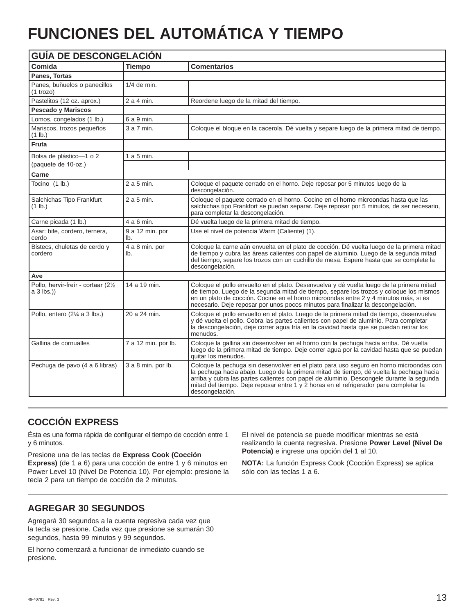# **FUNCIONES DEL AUTOMÁTICA Y TIEMPO**

| <b>GUÍA DE DESCONGELACIÓN</b>                      |                        |                                                                                                                                                                                                                                                                                                                                                                                           |  |
|----------------------------------------------------|------------------------|-------------------------------------------------------------------------------------------------------------------------------------------------------------------------------------------------------------------------------------------------------------------------------------------------------------------------------------------------------------------------------------------|--|
| Comida                                             | <b>Tiempo</b>          | <b>Comentarios</b>                                                                                                                                                                                                                                                                                                                                                                        |  |
| Panes, Tortas                                      |                        |                                                                                                                                                                                                                                                                                                                                                                                           |  |
| Panes, buñuelos o panecillos<br>$(1 + r)$          | $1/4$ de min.          |                                                                                                                                                                                                                                                                                                                                                                                           |  |
| Pastelitos (12 oz. aprox.)                         | 2 a 4 min.             | Reordene luego de la mitad del tiempo.                                                                                                                                                                                                                                                                                                                                                    |  |
| <b>Pescado y Mariscos</b>                          |                        |                                                                                                                                                                                                                                                                                                                                                                                           |  |
| Lomos, congelados (1 lb.)                          | 6 a 9 min.             |                                                                                                                                                                                                                                                                                                                                                                                           |  |
| Mariscos, trozos pequeños<br>$(1$ lb.)             | 3 a 7 min.             | Coloque el bloque en la cacerola. Dé vuelta y separe luego de la primera mitad de tiempo.                                                                                                                                                                                                                                                                                                 |  |
| Fruta                                              |                        |                                                                                                                                                                                                                                                                                                                                                                                           |  |
| Bolsa de plástico-1 o 2                            | $1a5$ min.             |                                                                                                                                                                                                                                                                                                                                                                                           |  |
| (paquete de 10-oz.)                                |                        |                                                                                                                                                                                                                                                                                                                                                                                           |  |
| Carne                                              |                        |                                                                                                                                                                                                                                                                                                                                                                                           |  |
| Tocino (1 lb.)                                     | 2 a 5 min.             | Cologue el paquete cerrado en el horno. Deje reposar por 5 minutos luego de la<br>descongelación.                                                                                                                                                                                                                                                                                         |  |
| Salchichas Tipo Frankfurt<br>$(1$ lb.)             | 2 a 5 min.             | Coloque el paquete cerrado en el horno. Cocine en el horno microondas hasta que las<br>salchichas tipo Frankfort se puedan separar. Deje reposar por 5 minutos, de ser necesario,<br>para completar la descongelación.                                                                                                                                                                    |  |
| Carne picada (1 lb.)                               | 4 a 6 min.             | Dé vuelta luego de la primera mitad de tiempo.                                                                                                                                                                                                                                                                                                                                            |  |
| Asar: bife, cordero, ternera,<br>cerdo             | 9 a 12 min. por<br>lb. | Use el nivel de potencia Warm (Caliente) (1).                                                                                                                                                                                                                                                                                                                                             |  |
| Bistecs, chuletas de cerdo y<br>cordero            | 4 a 8 min. por<br>lb.  | Cologue la carne aún envuelta en el plato de cocción. Dé vuelta luego de la primera mitad<br>de tiempo y cubra las áreas calientes con papel de aluminio. Luego de la segunda mitad<br>del tiempo, separe los trozos con un cuchillo de mesa. Espere hasta que se complete la<br>descongelación.                                                                                          |  |
| Ave                                                |                        |                                                                                                                                                                                                                                                                                                                                                                                           |  |
| Pollo, hervir-freír - cortaar (21/2)<br>a 3 lbs.)) | 14 a 19 min.           | Coloque el pollo envuelto en el plato. Desenvuelva y dé vuelta luego de la primera mitad<br>de tiempo. Luego de la segunda mitad de tiempo, separe los trozos y cologue los mismos<br>en un plato de cocción. Cocine en el horno microondas entre 2 y 4 minutos más, si es<br>necesario. Deje reposar por unos pocos minutos para finalizar la descongelación.                            |  |
| Pollo, entero (2¼ a 3 lbs.)                        | 20 a 24 min.           | Coloque el pollo envuelto en el plato. Luego de la primera mitad de tiempo, desenvuelva<br>y dé vuelta el pollo. Cobra las partes calientes con papel de aluminio. Para completar<br>la descongelación, deje correr agua fría en la cavidad hasta que se puedan retirar los<br>menudos.                                                                                                   |  |
| Gallina de cornualles                              | 7 a 12 min. por lb.    | Coloque la gallina sin desenvolver en el horno con la pechuga hacia arriba. Dé vuelta<br>luego de la primera mitad de tiempo. Deje correr agua por la cavidad hasta que se puedan<br>quitar los menudos.                                                                                                                                                                                  |  |
| Pechuga de pavo (4 a 6 libras)                     | 3 a 8 min. por lb.     | Coloque la pechuga sin desenvolver en el plato para uso seguro en horno microondas con<br>la pechuga hacia abajo. Luego de la primera mitad de tiempo, dé vuelta la pechuga hacia<br>arriba y cubra las partes calientes con papel de aluminio. Descongele durante la segunda<br>mitad del tiempo. Deje reposar entre 1 y 2 horas en el refrigerador para completar la<br>descongelación. |  |

### **COCCIÓN EXPRESS**

Ésta es una forma rápida de configurar el tiempo de cocción entre 1 y 6 minutos.

Presione una de las teclas de **Express Cook (Cocción** 

**Express)** (de 1 a 6) para una cocción de entre 1 y 6 minutos en Power Level 10 (Nivel De Potencia 10). Por ejemplo: presione la tecla 2 para un tiempo de cocción de 2 minutos.

El nivel de potencia se puede modificar mientras se está realizando la cuenta regresiva. Presione **Power Level (Nivel De Potencia)** e ingrese una opción del 1 al 10.

**NOTA:** La función Express Cook (Cocción Express) se aplica sólo con las teclas 1 a 6.

### **AGREGAR 30 SEGUNDOS**

Agregará 30 segundos a la cuenta regresiva cada vez que la tecla se presione. Cada vez que presione se sumarán 30 segundos, hasta 99 minutos y 99 segundos.

El horno comenzará a funcionar de inmediato cuando se presione.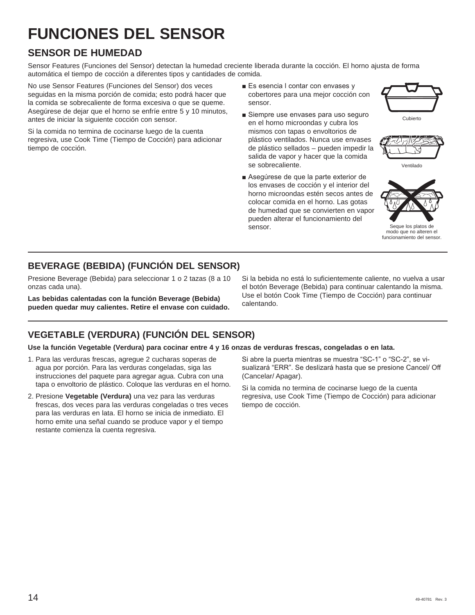# **FUNCIONES DEL SENSOR**

### **SENSOR DE HUMEDAD**

Sensor Features (Funciones del Sensor) detectan la humedad creciente liberada durante la cocción. El horno ajusta de forma automática el tiempo de cocción a diferentes tipos y cantidades de comida.

No use Sensor Features (Funciones del Sensor) dos veces seguidas en la misma porción de comida; esto podrá hacer que la comida se sobrecaliente de forma excesiva o que se queme. Asegúrese de dejar que el horno se enfríe entre 5 y 10 minutos, antes de iniciar la siguiente cocción con sensor.

Si la comida no termina de cocinarse luego de la cuenta regresiva, use Cook Time (Tiempo de Cocción) para adicionar tiempo de cocción.

- Es esencia I contar con envases y cobertores para una mejor cocción con sensor.
- Siempre use envases para uso seguro en el horno microondas y cubra los mismos con tapas o envoltorios de plástico ventilados. Nunca use envases de plástico sellados – pueden impedir la salida de vapor y hacer que la comida se sobrecaliente.
- Asequirese de que la parte exterior de los envases de cocción y el interior del horno microondas estén secos antes de colocar comida en el horno. Las gotas de humedad que se convierten en vapor pueden alterar el funcionamiento del sensor.





Ventilado



Seque los platos de modo que no alteren el funcionamiento del sensor.

### **BEVERAGE (BEBIDA) (FUNCIÓN DEL SENSOR)**

Presione Beverage (Bebida) para seleccionar 1 o 2 tazas (8 a 10 onzas cada una).

**Las bebidas calentadas con la función Beverage (Bebida) pueden quedar muy calientes. Retire el envase con cuidado.** Si la bebida no está lo suficientemente caliente, no vuelva a usar el botón Beverage (Bebida) para continuar calentando la misma. Use el botón Cook Time (Tiempo de Cocción) para continuar calentando.

### **VEGETABLE (VERDURA) (FUNCIÓN DEL SENSOR)**

#### **Use la función Vegetable (Verdura) para cocinar entre 4 y 16 onzas de verduras frescas, congeladas o en lata.**

- 1. Para las verduras frescas, agregue 2 cucharas soperas de agua por porción. Para las verduras congeladas, siga las instrucciones del paquete para agregar agua. Cubra con una tapa o envoltorio de plástico. Coloque las verduras en el horno.
- 2. Presione **Vegetable (Verdura)** una vez para las verduras frescas, dos veces para las verduras congeladas o tres veces para las verduras en lata. El horno se inicia de inmediato. El horno emite una señal cuando se produce vapor y el tiempo restante comienza la cuenta regresiva.

Si abre la puerta mientras se muestra "SC-1" o "SC-2", se visualizará "ERR". Se deslizará hasta que se presione Cancel/ Off (Cancelar/ Apagar).

Si la comida no termina de cocinarse luego de la cuenta regresiva, use Cook Time (Tiempo de Cocción) para adicionar tiempo de cocción.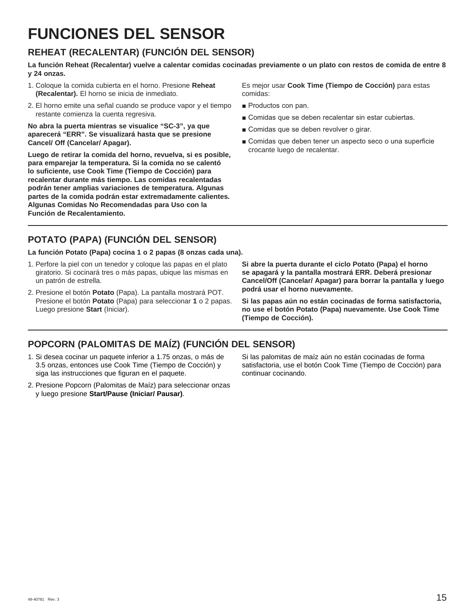# **FUNCIONES DEL SENSOR**

### **REHEAT (RECALENTAR) (FUNCIÓN DEL SENSOR)**

**La función Reheat (Recalentar) vuelve a calentar comidas cocinadas previamente o un plato con restos de comida de entre 8 y 24 onzas.**

- 1. Coloque la comida cubierta en el horno. Presione **Reheat (Recalentar).** El horno se inicia de inmediato.
- 2. El horno emite una señal cuando se produce vapor y el tiempo restante comienza la cuenta regresiva.

**No abra la puerta mientras se visualice "SC-3", ya que aparecerá "ERR". Se visualizará hasta que se presione Cancel/ Off (Cancelar/ Apagar).** 

**Luego de retirar la comida del horno, revuelva, si es posible, para emparejar la temperatura. Si la comida no se calentó lo suficiente, use Cook Time (Tiempo de Cocción) para recalentar durante más tiempo. Las comidas recalentadas podrán tener amplias variaciones de temperatura. Algunas partes de la comida podrán estar extremadamente calientes. Algunas Comidas No Recomendadas para Uso con la Función de Recalentamiento.**

Es mejor usar **Cook Time (Tiempo de Cocción)** para estas comidas:

- Productos con pan.
- Comidas que se deben recalentar sin estar cubiertas.
- Comidas que se deben revolver o girar.
- Comidas que deben tener un aspecto seco o una superficie crocante luego de recalentar.

### **POTATO (PAPA) (FUNCIÓN DEL SENSOR)**

**La función Potato (Papa) cocina 1 o 2 papas (8 onzas cada una).**

- 1. Perfore la piel con un tenedor y coloque las papas en el plato giratorio. Si cocinará tres o más papas, ubique las mismas en un patrón de estrella.
- 2. Presione el botón **Potato** (Papa). La pantalla mostrará POT. Presione el botón **Potato** (Papa) para seleccionar **1** o 2 papas. Luego presione **Start** (Iniciar).

**Si abre la puerta durante el ciclo Potato (Papa) el horno se apagará y la pantalla mostrará ERR. Deberá presionar Cancel/Off (Cancelar/ Apagar) para borrar la pantalla y luego podrá usar el horno nuevamente.** 

**Si las papas aún no están cocinadas de forma satisfactoria, no use el botón Potato (Papa) nuevamente. Use Cook Time (Tiempo de Cocción).**

### **POPCORN (PALOMITAS DE MAÍZ) (FUNCIÓN DEL SENSOR)**

- 1. Si desea cocinar un paquete inferior a 1.75 onzas, o más de 3.5 onzas, entonces use Cook Time (Tiempo de Cocción) y siga las instrucciones que figuran en el paquete.
- 2. Presione Popcorn (Palomitas de Maíz) para seleccionar onzas y luego presione **Start/Pause (Iniciar/ Pausar)**.

Si las palomitas de maíz aún no están cocinadas de forma satisfactoria, use el botón Cook Time (Tiempo de Cocción) para continuar cocinando.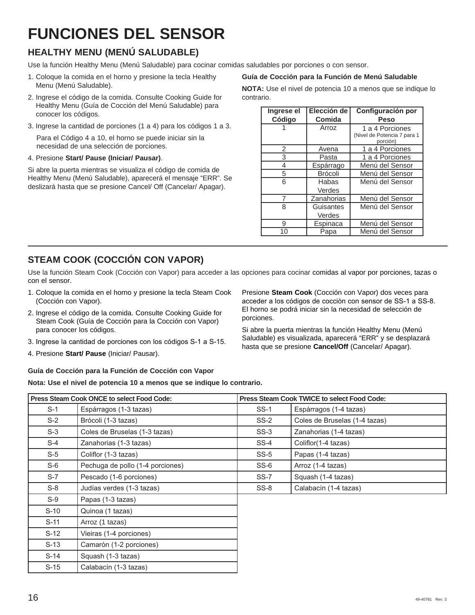# **FUNCIONES DEL SENSOR**

### **HEALTHY MENU (MENÚ SALUDABLE)**

Use la función Healthy Menu (Menú Saludable) para cocinar comidas saludables por porciones o con sensor.

- 1. Coloque la comida en el horno y presione la tecla Healthy Menu (Menú Saludable).
- 2. Ingrese el código de la comida. Consulte Cooking Guide for Healthy Menu (Guía de Cocción del Menú Saludable) para conocer los códigos.
- 3. Ingrese la cantidad de porciones (1 a 4) para los códigos 1 a 3.

 Para el Código 4 a 10, el horno se puede iniciar sin la necesidad de una selección de porciones.

#### 4. Presione **Start/ Pause (Iniciar/ Pausar)**.

Si abre la puerta mientras se visualiza el código de comida de Healthy Menu (Menú Saludable), aparecerá el mensaje "ERR". Se deslizará hasta que se presione Cancel/ Off (Cancelar/ Apagar).

#### **Guía de Cocción para la Función de Menú Saludable**

**NOTA:** Use el nivel de potencia 10 a menos que se indique lo contrario.

| Ingrese el | Elección de    | Configuración por                       |
|------------|----------------|-----------------------------------------|
| Código     | Comida         | <b>Peso</b>                             |
|            | Arroz          | 1 a 4 Porciones                         |
|            |                | (Nivel de Potencia 7 para 1<br>porción) |
| 2          | Avena          | 1 a 4 Porciones                         |
| 3          | Pasta          | 1 a 4 Porciones                         |
| 4          | Espárrago      | Menú del Sensor                         |
| 5          | <b>Brócoli</b> | Menú del Sensor                         |
| 6          | Habas          | Menú del Sensor                         |
|            | Verdes         |                                         |
| 7          | Zanahorias     | Menú del Sensor                         |
| 8          | Guisantes      | Menú del Sensor                         |
|            | Verdes         |                                         |
| 9          | Espinaca       | Menú del Sensor                         |
| 10         | Papa           | Menú del Sensor                         |

### **STEAM COOK (COCCIÓN CON VAPOR)**

Use la función Steam Cook (Cocción con Vapor) para acceder a las opciones para cocinar comidas al vapor por porciones, tazas o con el sensor.

- 1. Coloque la comida en el horno y presione la tecla Steam Cook (Cocción con Vapor).
- 2. Ingrese el código de la comida. Consulte Cooking Guide for Steam Cook (Guía de Cocción para la Cocción con Vapor) para conocer los códigos.
- 3. Ingrese la cantidad de porciones con los códigos S-1 a S-15.
- 4. Presione **Start/ Pause** (Iniciar/ Pausar).

porciones. Si abre la puerta mientras la función Healthy Menu (Menú Saludable) es visualizada, aparecerá "ERR" y se desplazará

hasta que se presione **Cancel/Off** (Cancelar/ Apagar).

Presione **Steam Cook** (Cocción con Vapor) dos veces para acceder a los códigos de cocción con sensor de SS-1 a SS-8. El horno se podrá iniciar sin la necesidad de selección de

#### **Guía de Cocción para la Función de Cocción con Vapor**

**Nota: Use el nivel de potencia 10 a menos que se indique lo contrario.**

| Press Steam Cook ONCE to select Food Code: |                                  |        | <b>Press Steam Cook TWICE to select Food Code:</b> |  |
|--------------------------------------------|----------------------------------|--------|----------------------------------------------------|--|
| $S-1$                                      | Espárragos (1-3 tazas)           | $SS-1$ | Espárragos (1-4 tazas)                             |  |
| $S-2$                                      | Brócoli (1-3 tazas)              | $SS-2$ | Coles de Bruselas (1-4 tazas)                      |  |
| $S-3$                                      | Coles de Bruselas (1-3 tazas)    | $SS-3$ | Zanahorias (1-4 tazas)                             |  |
| $S-4$                                      | Zanahorias (1-3 tazas)           | SS-4   | Coliflor(1-4 tazas)                                |  |
| $S-5$                                      | Coliflor (1-3 tazas)             | $SS-5$ | Papas (1-4 tazas)                                  |  |
| $S-6$                                      | Pechuga de pollo (1-4 porciones) | $SS-6$ | Arroz (1-4 tazas)                                  |  |
| $S-7$                                      | Pescado (1-6 porciones)          | $SS-7$ | Squash (1-4 tazas)                                 |  |
| $S-8$                                      | Judías verdes (1-3 tazas)        | $SS-8$ | Calabacín (1-4 tazas)                              |  |
| $S-9$                                      | Papas (1-3 tazas)                |        |                                                    |  |
| $S-10$                                     | Quinoa (1 tazas)                 |        |                                                    |  |
| $S-11$                                     | Arroz (1 tazas)                  |        |                                                    |  |
| $S-12$                                     | Vieiras (1-4 porciones)          |        |                                                    |  |
| $S-13$                                     | Camarón (1-2 porciones)          |        |                                                    |  |
| $S-14$                                     | Squash (1-3 tazas)               |        |                                                    |  |
| $S-15$                                     | Calabacín (1-3 tazas)            |        |                                                    |  |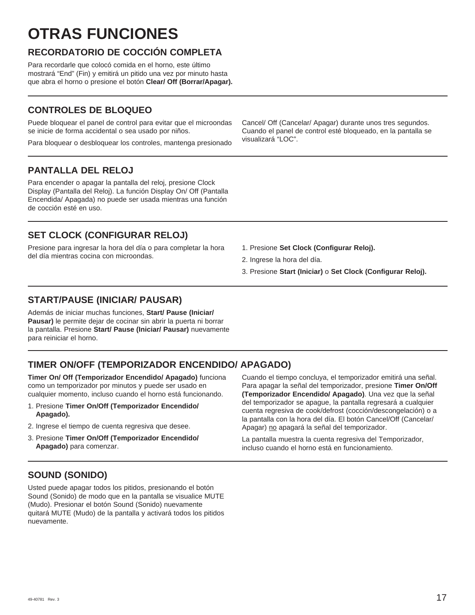# **OTRAS FUNCIONES**

### **RECORDATORIO DE COCCIÓN COMPLETA**

Para recordarle que colocó comida en el horno, este último mostrará "End" (Fin) y emitirá un pitido una vez por minuto hasta que abra el horno o presione el botón **Clear/ Off (Borrar/Apagar).**

### **CONTROLES DE BLOQUEO**

Puede bloquear el panel de control para evitar que el microondas se inicie de forma accidental o sea usado por niños.

Para bloquear o desbloquear los controles, mantenga presionado

### **PANTALLA DEL RELOJ**

Para encender o apagar la pantalla del reloj, presione Clock Display (Pantalla del Reloj). La función Display On/ Off (Pantalla Encendida/ Apagada) no puede ser usada mientras una función de cocción esté en uso.

### **SET CLOCK (CONFIGURAR RELOJ)**

Presione para ingresar la hora del día o para completar la hora del día mientras cocina con microondas.

Cancel/ Off (Cancelar/ Apagar) durante unos tres segundos. Cuando el panel de control esté bloqueado, en la pantalla se visualizará "LOC".

- 1. Presione **Set Clock (Configurar Reloj).**
- 2. Ingrese la hora del día.
- 3. Presione **Start (Iniciar)** o **Set Clock (Configurar Reloj).**

### **START/PAUSE (INICIAR/ PAUSAR)**

Además de iniciar muchas funciones, **Start/ Pause (Iniciar/ Pausar)** le permite dejar de cocinar sin abrir la puerta ni borrar la pantalla. Presione **Start/ Pause (Iniciar/ Pausar)** nuevamente para reiniciar el horno.

### **TIMER ON/OFF (TEMPORIZADOR ENCENDIDO/ APAGADO)**

**Timer On/ Off (Temporizador Encendido/ Apagado)** funciona como un temporizador por minutos y puede ser usado en cualquier momento, incluso cuando el horno está funcionando.

- 1. Presione **Timer On/Off (Temporizador Encendido/ Apagado).**
- 2. Ingrese el tiempo de cuenta regresiva que desee.
- 3. Presione **Timer On/Off (Temporizador Encendido/ Apagado)** para comenzar.

Cuando el tiempo concluya, el temporizador emitirá una señal. Para apagar la señal del temporizador, presione **Timer On/Off (Temporizador Encendido/ Apagado)**. Una vez que la señal del temporizador se apague, la pantalla regresará a cualquier cuenta regresiva de cook/defrost (cocción/descongelación) o a la pantalla con la hora del día. El botón Cancel/Off (Cancelar/ Apagar) no apagará la señal del temporizador.

La pantalla muestra la cuenta regresiva del Temporizador, incluso cuando el horno está en funcionamiento.

### **SOUND (SONIDO)**

Usted puede apagar todos los pitidos, presionando el botón Sound (Sonido) de modo que en la pantalla se visualice MUTE (Mudo). Presionar el botón Sound (Sonido) nuevamente quitará MUTE (Mudo) de la pantalla y activará todos los pitidos nuevamente.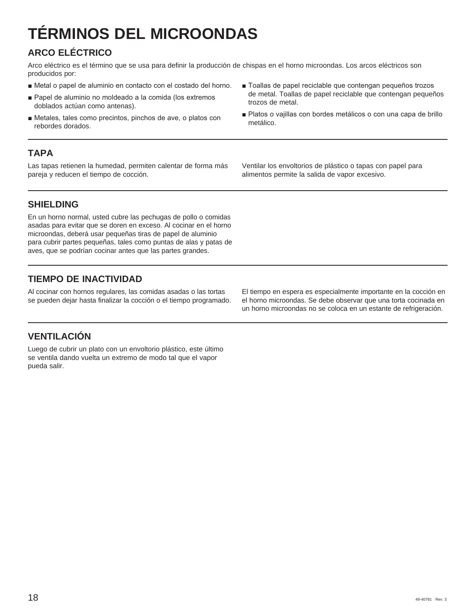# **TÉRMINOS DEL MICROONDAS**

### **ARCO ELÉCTRICO**

Arco eléctrico es el término que se usa para definir la producción de chispas en el horno microondas. Los arcos eléctricos son producidos por:

- Metal o papel de aluminio en contacto con el costado del horno.
- Papel de aluminio no moldeado a la comida (los extremos doblados actúan como antenas).
- Metales, tales como precintos, pinchos de ave, o platos con rebordes dorados.

### **TAPA**

Las tapas retienen la humedad, permiten calentar de forma más pareja y reducen el tiempo de cocción.

- Toallas de papel reciclable que contengan pequeños trozos de metal. Toallas de papel reciclable que contengan pequeños trozos de metal.
- Platos o vajillas con bordes metálicos o con una capa de brillo metálico.

Ventilar los envoltorios de plástico o tapas con papel para alimentos permite la salida de vapor excesivo.

### **SHIELDING**

En un horno normal, usted cubre las pechugas de pollo o comidas asadas para evitar que se doren en exceso. Al cocinar en el horno microondas, deberá usar pequeñas tiras de papel de aluminio para cubrir partes pequeñas, tales como puntas de alas y patas de aves, que se podrían cocinar antes que las partes grandes.

### **TIEMPO DE INACTIVIDAD**

Al cocinar con hornos regulares, las comidas asadas o las tortas se pueden dejar hasta finalizar la cocción o el tiempo programado.

El tiempo en espera es especialmente importante en la cocción en el horno microondas. Se debe observar que una torta cocinada en un horno microondas no se coloca en un estante de refrigeración.

### **VENTILACIÓN**

Luego de cubrir un plato con un envoltorio plástico, este último se ventila dando vuelta un extremo de modo tal que el vapor pueda salir.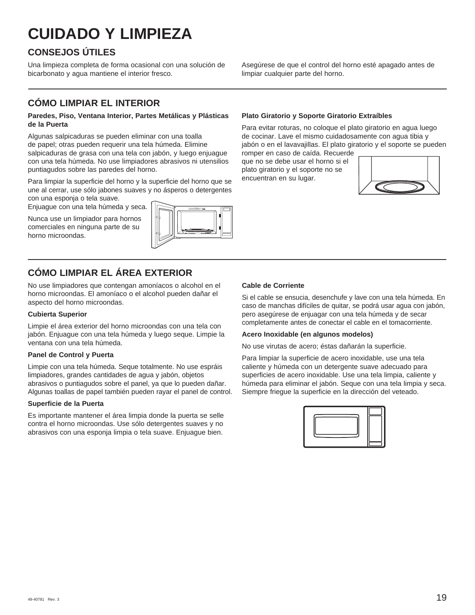# **CUIDADO Y LIMPIEZA**

### **CONSEJOS ÚTILES**

Una limpieza completa de forma ocasional con una solución de bicarbonato y agua mantiene el interior fresco.

### **CÓMO LIMPIAR EL INTERIOR**

#### **Paredes, Piso, Ventana Interior, Partes Metálicas y Plásticas de la Puerta**

Algunas salpicaduras se pueden eliminar con una toalla de papel; otras pueden requerir una tela húmeda. Elimine salpicaduras de grasa con una tela con jabón, y luego enjuague con una tela húmeda. No use limpiadores abrasivos ni utensilios puntiagudos sobre las paredes del horno.

Para limpiar la superficie del horno y la superficie del horno que se une al cerrar, use sólo jabones suaves y no ásperos o detergentes con una esponja o tela suave.

Enjuague con una tela húmeda y seca.

Nunca use un limpiador para hornos comerciales en ninguna parte de su horno microondas.



### **CÓMO LIMPIAR EL ÁREA EXTERIOR**

No use limpiadores que contengan amoníacos o alcohol en el horno microondas. El amoníaco o el alcohol pueden dañar el aspecto del horno microondas.

#### **Cubierta Superior**

Limpie el área exterior del horno microondas con una tela con jabón. Enjuague con una tela húmeda y luego seque. Limpie la ventana con una tela húmeda.

#### **Panel de Control y Puerta**

Limpie con una tela húmeda. Seque totalmente. No use espráis limpiadores, grandes cantidades de agua y jabón, objetos abrasivos o puntiagudos sobre el panel, ya que lo pueden dañar. Algunas toallas de papel también pueden rayar el panel de control.

#### **Superficie de la Puerta**

Es importante mantener el área limpia donde la puerta se selle contra el horno microondas. Use sólo detergentes suaves y no abrasivos con una esponja limpia o tela suave. Enjuague bien.

**Plato Giratorio y Soporte Giratorio Extraíbles**

Para evitar roturas, no coloque el plato giratorio en agua luego de cocinar. Lave el mismo cuidadosamente con agua tibia y jabón o en el lavavajillas. El plato giratorio y el soporte se pueden romper en caso de caída. Recuerde

Asegúrese de que el control del horno esté apagado antes de

que no se debe usar el horno si el plato giratorio y el soporte no se encuentran en su lugar.

limpiar cualquier parte del horno.



#### **Cable de Corriente**

Si el cable se ensucia, desenchufe y lave con una tela húmeda. En caso de manchas difíciles de quitar, se podrá usar agua con jabón, pero asegúrese de enjuagar con una tela húmeda y de secar completamente antes de conectar el cable en el tomacorriente.

#### **Acero Inoxidable (en algunos modelos)**

No use virutas de acero; éstas dañarán la superficie.

Para limpiar la superficie de acero inoxidable, use una tela caliente y húmeda con un detergente suave adecuado para superficies de acero inoxidable. Use una tela limpia, caliente y húmeda para eliminar el jabón. Seque con una tela limpia y seca. Siempre friegue la superficie en la dirección del veteado.

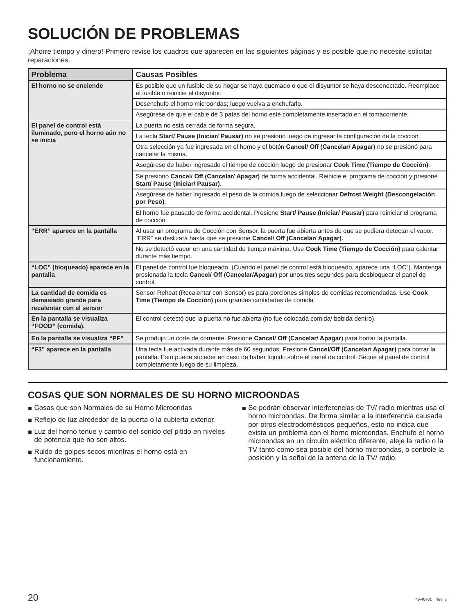# **SOLUCIÓN DE PROBLEMAS**

¡Ahorre tiempo y dinero! Primero revise los cuadros que aparecen en las siguientes páginas y es posible que no necesite solicitar reparaciones.

| Problema                                                                      | <b>Causas Posibles</b>                                                                                                                                                                                                                                        |
|-------------------------------------------------------------------------------|---------------------------------------------------------------------------------------------------------------------------------------------------------------------------------------------------------------------------------------------------------------|
| El horno no se enciende                                                       | Es posible que un fusible de su hogar se haya quemado o que el disyuntor se haya desconectado. Reemplace<br>el fusible o reinicie el disyuntor.                                                                                                               |
|                                                                               | Desenchufe el horno microondas; luego vuelva a enchufarlo.                                                                                                                                                                                                    |
|                                                                               | Asegúrese de que el cable de 3 patas del horno esté completamente insertado en el tomacorriente.                                                                                                                                                              |
| El panel de control está                                                      | La puerta no está cerrada de forma segura.                                                                                                                                                                                                                    |
| iluminado, pero el horno aún no<br>se inicia                                  | La tecla Start/ Pause (Iniciar/ Pausar) no se presionó luego de ingresar la configuración de la cocción.                                                                                                                                                      |
|                                                                               | Otra selección ya fue ingresada en el horno y el botón Cancel/ Off (Cancelar/ Apagar) no se presionó para<br>cancelar la misma.                                                                                                                               |
|                                                                               | Asegúrese de haber ingresado el tiempo de cocción luego de presionar Cook Time (Tiempo de Cocción).                                                                                                                                                           |
|                                                                               | Se presionó Cancel/ Off (Cancelar/ Apagar) de forma accidental. Reinicie el programa de cocción y presione<br>Start/ Pause (Iniciar/ Pausar).                                                                                                                 |
|                                                                               | Asegúrese de haber ingresado el peso de la comida luego de seleccionar Defrost Weight (Descongelación<br>por Peso).                                                                                                                                           |
|                                                                               | El horno fue pausado de forma accidental. Presione Start/ Pause (Iniciar/ Pausar) para reiniciar el programa<br>de cocción.                                                                                                                                   |
| "ERR" aparece en la pantalla                                                  | Al usar un programa de Cocción con Sensor, la puerta fue abierta antes de que se pudiera detectar el vapor.<br>"ERR" se deslizará hasta que se presione Cancel/ Off (Cancelar/ Apagar).                                                                       |
|                                                                               | No se detectó vapor en una cantidad de tiempo máxima. Use Cook Time (Tiempo de Cocción) para calentar<br>durante más tiempo.                                                                                                                                  |
| "LOC" (bloqueado) aparece en la<br>pantalla                                   | El panel de control fue bloqueado. (Cuando el panel de control está bloqueado, aparece una "LOC"). Mantenga<br>presionada la tecla Cancel/ Off (Cancelar/Apagar) por unos tres segundos para desbloquear el panel de<br>control.                              |
| La cantidad de comida es<br>demasiado grande para<br>recalentar con el sensor | Sensor Reheat (Recalentar con Sensor) es para porciones simples de comidas recomendadas. Use Cook<br>Time (Tiempo de Cocción) para grandes cantidades de comida.                                                                                              |
| En la pantalla se visualiza<br>"FOOD" (comida).                               | El control detectó que la puerta no fue abierta (no fue colocada comida/ bebida dentro).                                                                                                                                                                      |
| En la pantalla se visualiza "PF"                                              | Se produjo un corte de corriente. Presione Cancel/ Off (Cancelar/ Apagar) para borrar la pantalla.                                                                                                                                                            |
| "F3" aparece en la pantalla                                                   | Una tecla fue activada durante más de 60 segundos. Presione Cancel/Off (Cancelar/ Apagar) para borrar la<br>pantalla. Esto puede suceder en caso de haber líquido sobre el panel de control. Seque el panel de control<br>completamente luego de su limpieza. |

### **COSAS QUE SON NORMALES DE SU HORNO MICROONDAS**

- Cosas que son Normales de su Horno Microondas
- Reflejo de luz alrededor de la puerta o la cubierta exterior.
- Luz del horno tenue y cambio del sonido del pitido en niveles de potencia que no son altos.
- Ruido de golpes secos mientras el horno está en funcionamiento.
- Se podrán observar interferencias de TV/ radio mientras usa el horno microondas. De forma similar a la interferencia causada por otros electrodomésticos pequeños, esto no indica que exista un problema con el horno microondas. Enchufe el horno microondas en un circuito eléctrico diferente, aleje la radio o la TV tanto como sea posible del horno microondas, o controle la posición y la señal de la antena de la TV/ radio.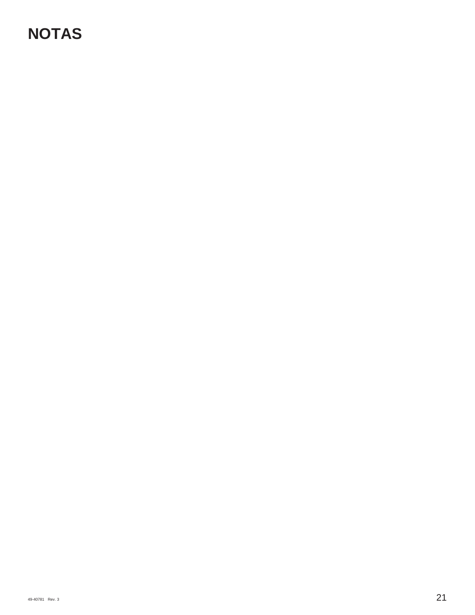# **NOTAS**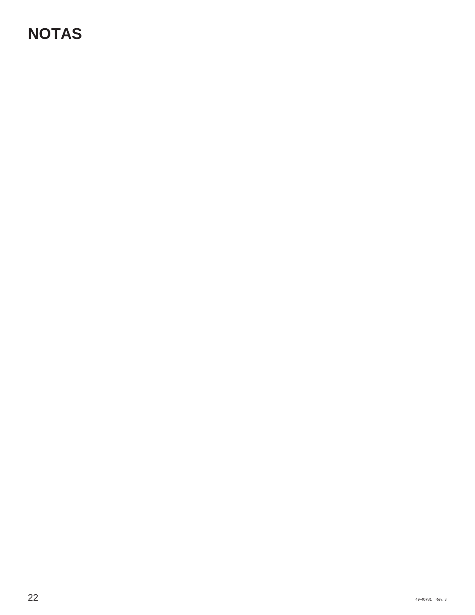# **NOTAS**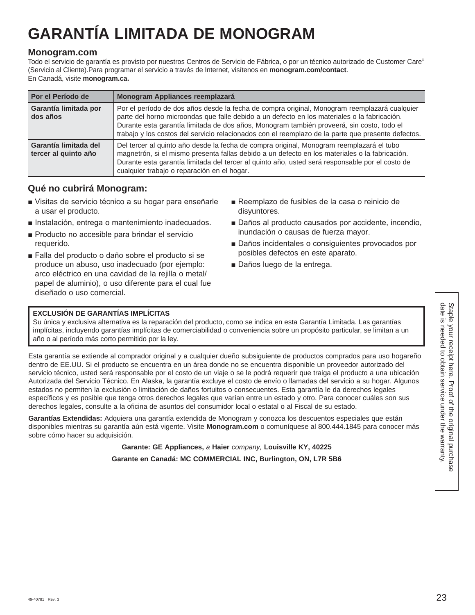# **GARANTÍA LIMITADA DE MONOGRAM**

#### **Monogram.com**

Todo el servicio de garantía es provisto por nuestros Centros de Servicio de Fábrica, o por un técnico autorizado de Customer Care® (Servicio al Cliente).Para programar el servicio a través de Internet, visítenos en **monogram.com/contact**. En Canadá, visite **monogram.ca.**

| Por el Período de                             | Monogram Appliances reemplazará                                                                                                                                                                                                                                                                                                                                                                 |
|-----------------------------------------------|-------------------------------------------------------------------------------------------------------------------------------------------------------------------------------------------------------------------------------------------------------------------------------------------------------------------------------------------------------------------------------------------------|
| Garantía limitada por<br>dos años             | Por el período de dos años desde la fecha de compra original, Monogram reemplazará cualquier<br>parte del horno microondas que falle debido a un defecto en los materiales o la fabricación.<br>Durante esta garantía limitada de dos años, Monogram también proveerá, sin costo, todo el<br>trabajo y los costos del servicio relacionados con el reemplazo de la parte que presente defectos. |
| Garantía limitada del<br>tercer al quinto año | Del tercer al quinto año desde la fecha de compra original, Monogram reemplazará el tubo<br>magnetrón, si el mismo presenta fallas debido a un defecto en los materiales o la fabricación.<br>Durante esta garantía limitada del tercer al quinto año, usted será responsable por el costo de<br>cualquier trabajo o reparación en el hogar.                                                    |

### **Qué no cubrirá Monogram:**

- Visitas de servicio técnico a su hogar para enseñarle a usar el producto.
- Instalación, entrega o mantenimiento inadecuados.
- Producto no accesible para brindar el servicio requerido.
- Falla del producto o daño sobre el producto si se produce un abuso, uso inadecuado (por ejemplo: arco eléctrico en una cavidad de la rejilla o metal/ papel de aluminio), o uso diferente para el cual fue diseñado o uso comercial.
- Reemplazo de fusibles de la casa o reinicio de disyuntores.
- Daños al producto causados por accidente, incendio, inundación o causas de fuerza mayor.
- Daños incidentales o consiguientes provocados por posibles defectos en este aparato.
- Daños luego de la entrega.

#### **EXCLUSIÓN DE GARANTÍAS IMPLÍCITAS**

Su única y exclusiva alternativa es la reparación del producto, como se indica en esta Garantía Limitada. Las garantías implícitas, incluyendo garantías implícitas de comerciabilidad o conveniencia sobre un propósito particular, se limitan a un año o al período más corto permitido por la ley.

Esta garantía se extiende al comprador original y a cualquier dueño subsiguiente de productos comprados para uso hogareño dentro de EE.UU. Si el producto se encuentra en un área donde no se encuentra disponible un proveedor autorizado del servicio técnico, usted será responsable por el costo de un viaje o se le podrá requerir que traiga el producto a una ubicación Autorizada del Servicio Técnico. En Alaska, la garantía excluye el costo de envío o llamadas del servicio a su hogar. Algunos estados no permiten la exclusión o limitación de daños fortuitos o consecuentes. Esta garantía le da derechos legales específicos y es posible que tenga otros derechos legales que varían entre un estado y otro. Para conocer cuáles son sus derechos legales, consulte a la oficina de asuntos del consumidor local o estatal o al Fiscal de su estado.

**Garantías Extendidas:** Adquiera una garantía extendida de Monogram y conozca los descuentos especiales que están disponibles mientras su garantía aún está vigente. Visite **Monogram.com** o comuníquese al 800.444.1845 para conocer más sobre cómo hacer su adquisición.

> **Garante: GE Appliances,** *a* **Haier** *company,* **Louisville KY, 40225 Garante en Canadá: MC COMMERCIAL INC, Burlington, ON, L7R 5B6**